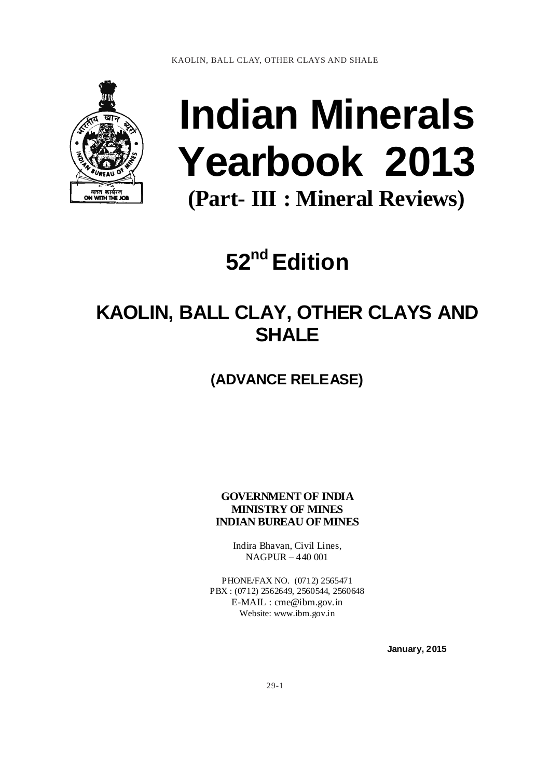

# **Indian Minerals Yearbook 2013 (Part- III : Mineral Reviews)**

**52nd Edition** 

## **KAOLIN, BALL CLAY, OTHER CLAYS AND SHALE**

**(ADVANCE RELEASE)** 

**GOVERNMENT OF INDIA MINISTRY OF MINES INDIAN BUREAU OF MINES** 

> Indira Bhavan, Civil Lines, NAGPUR – 440 001

PHONE/FAX NO. (0712) 2565471 PBX : (0712) 2562649, 2560544, 2560648 E-MAIL : cme@ibm.gov.in Website: www.ibm.gov.in

 **January, 2015**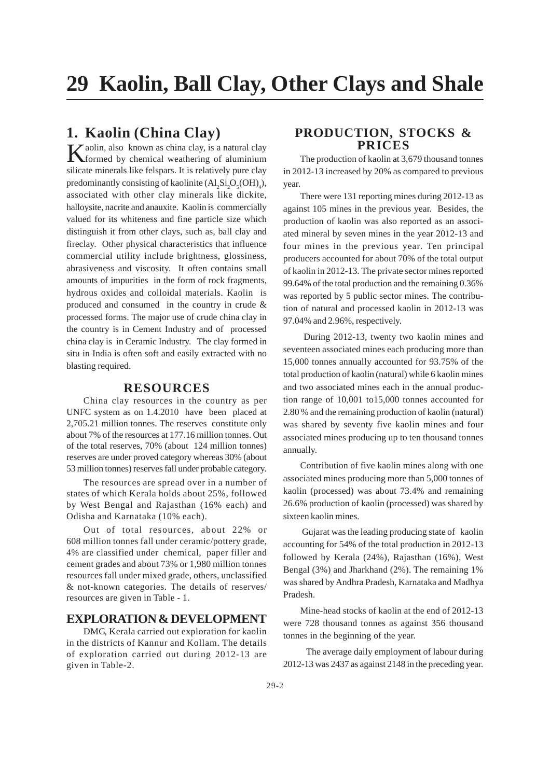## **1. Kaolin (China Clay)**

Kaolin, also known as china clay, is a natural clay<br>formed by chemical weathering of aluminium formed by chemical weathering of aluminium silicate minerals like felspars. It is relatively pure clay predominantly consisting of kaolinite  $(Al_2Si_2O_5(OH)_4)$ , associated with other clay minerals like dickite, halloysite, nacrite and anauxite. Kaolin is commercially valued for its whiteness and fine particle size which distinguish it from other clays, such as, ball clay and fireclay. Other physical characteristics that influence commercial utility include brightness, glossiness, abrasiveness and viscosity. It often contains small amounts of impurities in the form of rock fragments, hydrous oxides and colloidal materials. Kaolin is produced and consumed in the country in crude & processed forms. The major use of crude china clay in the country is in Cement Industry and of processed china clay is in Ceramic Industry. The clay formed in situ in India is often soft and easily extracted with no blasting required.

#### **RESOURCES**

China clay resources in the country as per UNFC system as on 1.4.2010 have been placed at 2,705.21 million tonnes. The reserves constitute only about 7% of the resources at 177.16 million tonnes. Out of the total reserves, 70% (about 124 million tonnes) reserves are under proved category whereas 30% (about 53 million tonnes) reserves fall under probable category.

The resources are spread over in a number of states of which Kerala holds about 25%, followed by West Bengal and Rajasthan (16% each) and Odisha and Karnataka (10% each).

Out of total resources, about 22% or 608 million tonnes fall under ceramic/pottery grade, 4% are classified under chemical, paper filler and cement grades and about 73% or 1,980 million tonnes resources fall under mixed grade, others, unclassified & not-known categories. The details of reserves/ resources are given in Table - 1.

#### **EXPLORATION & DEVELOPMENT**

DMG, Kerala carried out exploration for kaolin in the districts of Kannur and Kollam. The details of exploration carried out during 2012-13 are given in Table-2.

## **PRODUCTION, STOCKS & PRICES**

The production of kaolin at 3,679 thousand tonnes in 2012-13 increased by 20% as compared to previous year.

There were 131 reporting mines during 2012-13 as against 105 mines in the previous year. Besides, the production of kaolin was also reported as an associated mineral by seven mines in the year 2012-13 and four mines in the previous year. Ten principal producers accounted for about 70% of the total output of kaolin in 2012-13. The private sector mines reported 99.64% of the total production and the remaining 0.36% was reported by 5 public sector mines. The contribution of natural and processed kaolin in 2012-13 was 97.04% and 2.96%, respectively.

 During 2012-13, twenty two kaolin mines and seventeen associated mines each producing more than 15,000 tonnes annually accounted for 93.75% of the total production of kaolin (natural) while 6 kaolin mines and two associated mines each in the annual production range of 10,001 to15,000 tonnes accounted for 2.80 % and the remaining production of kaolin (natural) was shared by seventy five kaolin mines and four associated mines producing up to ten thousand tonnes annually.

Contribution of five kaolin mines along with one associated mines producing more than 5,000 tonnes of kaolin (processed) was about 73.4% and remaining 26.6% production of kaolin (processed) was shared by sixteen kaolin mines.

 Gujarat was the leading producing state of kaolin accounting for 54% of the total production in 2012-13 followed by Kerala (24%), Rajasthan (16%), West Bengal (3%) and Jharkhand (2%). The remaining 1% was shared by Andhra Pradesh, Karnataka and Madhya Pradesh.

Mine-head stocks of kaolin at the end of 2012-13 were 728 thousand tonnes as against 356 thousand tonnes in the beginning of the year.

 The average daily employment of labour during 2012-13 was 2437 as against 2148 in the preceding year.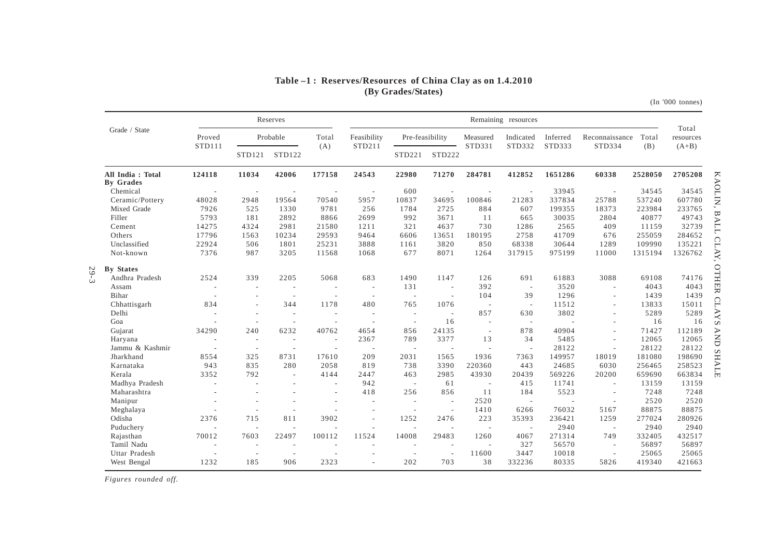#### **Table –1 : Reserves/Resources of China Clay as on 1.4.2010(By Grades/States)**

(In '000 tonnes)

|                               |                          |                          | Reserves                 |                          | Remaining resources |                          |                          |                          |                          |          | Total                    |         |           |
|-------------------------------|--------------------------|--------------------------|--------------------------|--------------------------|---------------------|--------------------------|--------------------------|--------------------------|--------------------------|----------|--------------------------|---------|-----------|
| Grade / State                 | Proved                   |                          | Probable                 | Total                    | Feasibility         | Pre-feasibility          |                          | Measured                 | Indicated                | Inferred | Reconnaissance           | Total   | resources |
|                               | STD111                   | STD121                   | STD122                   | (A)                      | STD211              | STD221                   | STD222                   | STD331                   | STD332                   | STD333   | STD334                   | (B)     | $(A+B)$   |
| All India: Total<br>By Grades | 124118                   | 11034                    | 42006                    | 177158                   | 24543               | 22980                    | 71270                    | 284781                   | 412852                   | 1651286  | 60338                    | 2528050 | 2705208   |
| Chemical                      | $\overline{\phantom{a}}$ | $\sim$                   |                          |                          |                     | 600                      |                          |                          |                          | 33945    | $\overline{a}$           | 34545   | 34545     |
| Ceramic/Pottery               | 48028                    | 2948                     | 19564                    | 70540                    | 5957                | 10837                    | 34695                    | 100846                   | 21283                    | 337834   | 25788                    | 537240  | 607780    |
| Mixed Grade                   | 7926                     | 525                      | 1330                     | 9781                     | 256                 | 1784                     | 2725                     | 884                      | 607                      | 199355   | 18373                    | 223984  | 233765    |
| Filler                        | 5793                     | 181                      | 2892                     | 8866                     | 2699                | 992                      | 3671                     | 11                       | 665                      | 30035    | 2804                     | 40877   | 49743     |
| Cement                        | 14275                    | 4324                     | 2981                     | 21580                    | 1211                | 321                      | 4637                     | 730                      | 1286                     | 2565     | 409                      | 11159   | 32739     |
| Others                        | 17796                    | 1563                     | 10234                    | 29593                    | 9464                | 6606                     | 13651                    | 180195                   | 2758                     | 41709    | 676                      | 255059  | 284652    |
| Unclassified                  | 22924                    | 506                      | 1801                     | 25231                    | 3888                | 1161                     | 3820                     | 850                      | 68338                    | 30644    | 1289                     | 109990  | 135221    |
| Not-known                     | 7376                     | 987                      | 3205                     | 11568                    | 1068                | 677                      | 8071                     | 1264                     | 317915                   | 975199   | 11000                    | 1315194 | 1326762   |
| <b>By States</b>              |                          |                          |                          |                          |                     |                          |                          |                          |                          |          |                          |         |           |
| Andhra Pradesh                | 2524                     | 339                      | 2205                     | 5068                     | 683                 | 1490                     | 1147                     | 126                      | 691                      | 61883    | 3088                     | 69108   | 74176     |
| Assam                         | $\overline{\phantom{a}}$ | $\overline{a}$           | $\overline{\phantom{a}}$ | $\sim$                   | $\sim$              | 131                      | $\sim$                   | 392                      | $\overline{\phantom{a}}$ | 3520     | $\sim$                   | 4043    | 4043      |
| Bihar                         |                          | $\overline{\phantom{a}}$ | $\overline{\phantom{a}}$ | $\overline{\phantom{a}}$ | $\sim$              | $\overline{\phantom{a}}$ | ÷,                       | 104                      | 39                       | 1296     | $\sim$                   | 1439    | 1439      |
| Chhattisgarh                  | 834                      | ÷                        | 344                      | 1178                     | 480                 | 765                      | 1076                     | $\sim$                   | $\sim$                   | 11512    | ÷.                       | 13833   | 15011     |
| Delhi                         | $\overline{\phantom{a}}$ | $\overline{\phantom{a}}$ | $\overline{\phantom{a}}$ | ٠                        | $\sim$              | $\overline{\phantom{a}}$ | $\sim$                   | 857                      | 630                      | 3802     | ٠                        | 5289    | 5289      |
| Goa                           |                          | ÷,                       | $\overline{\phantom{a}}$ | $\sim$                   | $\overline{a}$      | $\overline{\phantom{a}}$ | 16                       | $\sim$                   | $\sim$                   |          | ÷,                       | 16      | 16        |
| Gujarat                       | 34290                    | 240                      | 6232                     | 40762                    | 4654                | 856                      | 24135                    | $\sim$                   | 878                      | 40904    | ÷.                       | 71427   | 112189    |
| Haryana                       | $\overline{\phantom{a}}$ | $\sim$                   | $\sim$                   | $\overline{\phantom{a}}$ | 2367                | 789                      | 3377                     | 13                       | 34                       | 5485     | $\sim$                   | 12065   | 12065     |
| Jammu & Kashmir               | $\overline{\phantom{a}}$ | $\overline{\phantom{a}}$ | $\overline{\phantom{a}}$ | $\overline{\phantom{a}}$ | $\sim$              | $\overline{\phantom{a}}$ | $\sim$                   | $\sim$                   | $\sim$                   | 28122    | $\sim$                   | 28122   | 28122     |
| Jharkhand                     | 8554                     | 325                      | 8731                     | 17610                    | 209                 | 2031                     | 1565                     | 1936                     | 7363                     | 149957   | 18019                    | 181080  | 198690    |
| Karnataka                     | 943                      | 835                      | 280                      | 2058                     | 819                 | 738                      | 3390                     | 220360                   | 443                      | 24685    | 6030                     | 256465  | 258523    |
| Kerala                        | 3352                     | 792                      | ÷                        | 4144                     | 2447                | 463                      | 2985                     | 43930                    | 20439                    | 569226   | 20200                    | 659690  | 663834    |
| Madhya Pradesh                | $\overline{\phantom{a}}$ | ÷                        |                          | ٠                        | 942                 | $\sim$                   | 61                       | $\sim$                   | 415                      | 11741    | $\sim$                   | 13159   | 13159     |
| Maharashtra                   |                          |                          |                          | ٠                        | 418                 | 256                      | 856                      | 11                       | 184                      | 5523     | $\overline{\phantom{a}}$ | 7248    | 7248      |
| Manipur                       |                          | ٠                        |                          |                          |                     | $\sim$                   | $\sim$                   | 2520                     | $\overline{\phantom{a}}$ |          | $\sim$                   | 2520    | 2520      |
| Meghalaya                     |                          | $\overline{\phantom{a}}$ |                          |                          |                     | $\sim$                   | $\overline{a}$           | 1410                     | 6266                     | 76032    | 5167                     | 88875   | 88875     |
| Odisha                        | 2376                     | 715                      | 811                      | 3902                     |                     | 1252                     | 2476                     | 223                      | 35393                    | 236421   | 1259                     | 277024  | 280926    |
| Puduchery                     | $\sim$                   | ÷,                       | $\overline{\phantom{a}}$ |                          |                     | $\overline{\phantom{a}}$ | ÷,                       | $\sim$                   | $\overline{\phantom{a}}$ | 2940     | $\sim$                   | 2940    | 2940      |
| Rajasthan                     | 70012                    | 7603                     | 22497                    | 100112                   | 11524               | 14008                    | 29483                    | 1260                     | 4067                     | 271314   | 749                      | 332405  | 432517    |
| Tamil Nadu                    | $\overline{\phantom{a}}$ | $\overline{\phantom{a}}$ |                          |                          |                     | $\overline{\phantom{a}}$ | $\overline{\phantom{a}}$ | $\overline{\phantom{a}}$ | 327                      | 56570    | $\sim$                   | 56897   | 56897     |
| Uttar Pradesh                 | $\sim$                   | $\overline{a}$           | $\sim$                   |                          |                     | $\sim$                   | $\sim$                   | 11600                    | 3447                     | 10018    | $\sim$                   | 25065   | 25065     |
| West Bengal                   | 1232                     | 185                      | 906                      | 2323                     |                     | 202                      | 703                      | 38                       | 332236                   | 80335    | 5826                     | 419340  | 421663    |

*Figures rounded off.*

29-3

KAOLIN, BALL CLAY, OTHER CLAYS AND SHALE KAOLIN, BALL CLAY, OTHER CLAYS AND SHALE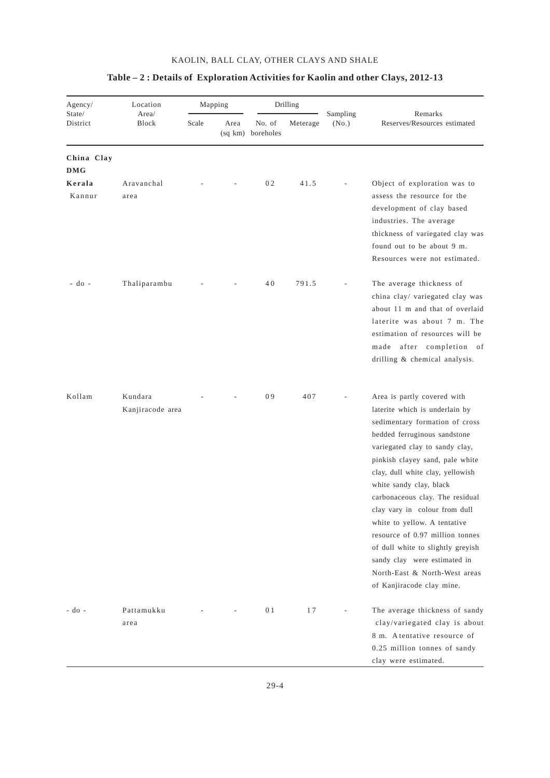| Agency/<br>State/        | Location                    |       | Mapping |                             | Drilling |                   |                                                                                                                                                                                                                                                                                                                                                                                                                                                                                                                                               |
|--------------------------|-----------------------------|-------|---------|-----------------------------|----------|-------------------|-----------------------------------------------------------------------------------------------------------------------------------------------------------------------------------------------------------------------------------------------------------------------------------------------------------------------------------------------------------------------------------------------------------------------------------------------------------------------------------------------------------------------------------------------|
| District                 | Area/<br>Block              | Scale | Area    | No. of<br>(sq km) boreholes | Meterage | Sampling<br>(No.) | Remarks<br>Reserves/Resources estimated                                                                                                                                                                                                                                                                                                                                                                                                                                                                                                       |
| China Clay<br><b>DMG</b> |                             |       |         |                             |          |                   |                                                                                                                                                                                                                                                                                                                                                                                                                                                                                                                                               |
| Kerala<br>Kannur         | Aravanchal<br>area          |       |         | 02                          | 41.5     |                   | Object of exploration was to<br>assess the resource for the<br>development of clay based<br>industries. The average<br>thickness of variegated clay was<br>found out to be about 9 m.<br>Resources were not estimated.                                                                                                                                                                                                                                                                                                                        |
| - do -                   | Thaliparambu                |       |         | 40                          | 791.5    |                   | The average thickness of<br>china clay/ variegated clay was<br>about 11 m and that of overlaid<br>laterite was about 7 m. The<br>estimation of resources will be<br>made after completion of<br>drilling & chemical analysis.                                                                                                                                                                                                                                                                                                                 |
| Kollam                   | Kundara<br>Kanjiracode area |       |         | 09                          | 407      |                   | Area is partly covered with<br>laterite which is underlain by<br>sedimentary formation of cross<br>bedded ferruginous sandstone<br>variegated clay to sandy clay,<br>pinkish clayey sand, pale white<br>clay, dull white clay, yellowish<br>white sandy clay, black<br>carbonaceous clay. The residual<br>clay vary in colour from dull<br>white to yellow. A tentative<br>resource of 0.97 million tonnes<br>of dull white to slightly greyish<br>sandy clay were estimated in<br>North-East & North-West areas<br>of Kanjiracode clay mine. |
| - do -                   | Pattamukku<br>area          |       |         | 0 <sub>1</sub>              | 17       |                   | The average thickness of sandy<br>clay/variegated clay is about<br>8 m. Atentative resource of<br>0.25 million tonnes of sandy<br>clay were estimated.                                                                                                                                                                                                                                                                                                                                                                                        |

## **Table – 2 : Details of Exploration Activities for Kaolin and other Clays, 2012-13**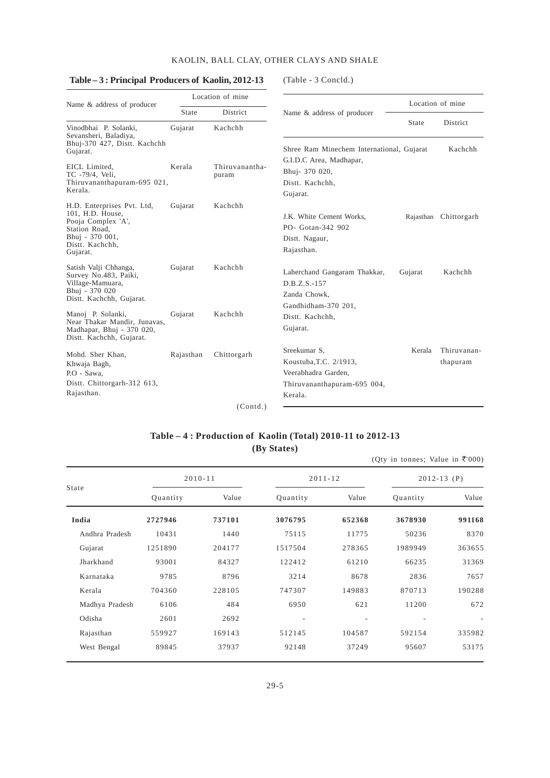#### **Table – 3 : Principal Producers of Kaolin, 2012-13** (Table - 3 Concld.)

|                                                                                                                                         |                    | Location of mine        |                                                                                                         |         | Location of mine        |  |
|-----------------------------------------------------------------------------------------------------------------------------------------|--------------------|-------------------------|---------------------------------------------------------------------------------------------------------|---------|-------------------------|--|
| Name & address of producer                                                                                                              | State              | District                | Name & address of producer                                                                              |         |                         |  |
| Vinodbhai P. Solanki,<br>Sevansheri, Baladiya,                                                                                          | Gujarat            | Kachchh                 |                                                                                                         | State   | District                |  |
| Bhuj-370 427, Distt. Kachchh<br>Gujarat.                                                                                                |                    |                         | Shree Ram Minechem International, Gujarat                                                               |         | Kachchh                 |  |
| EICL Limited.<br>TC -79/4, Veli,<br>Thiruvananthapuram-695 021,<br>Kerala.                                                              | Kerala             | Thiruvanantha-<br>puram | G.I.D.C Area, Madhapar,<br>Bhuj- 370 020,<br>Distt. Kachchh,<br>Gujarat.                                |         |                         |  |
| H.D. Enterprises Pvt. Ltd,<br>101, H.D. House,<br>Pooja Complex 'A',<br>Station Road,<br>Bhuj - 370 001,<br>Distt. Kachchh.<br>Gujarat. | Kachchh<br>Gujarat |                         | J.K. White Cement Works,<br>PO- Gotan-342 902<br>Distt. Nagaur,<br>Rajasthan.                           |         | Rajasthan Chittorgarh   |  |
| Satish Valji Chhanga,<br>Survey No.483, Paiki,<br>Village-Mamuara,<br>Bhuj - 370 020<br>Distt. Kachchh, Gujarat.                        | Gujarat            | Kachchh                 | Laherchand Gangaram Thakkar,<br>$D.B.Z.S.-157$<br>Zanda Chowk,<br>Gandhidham-370 201,                   | Gujarat | Kachchh                 |  |
| Manoj P. Solanki,<br>Near Thakar Mandir, Junavas,<br>Madhapar, Bhuj - 370 020,<br>Distt. Kachchh, Gujarat.                              | Kachchh<br>Gujarat |                         | Distt. Kachchh,<br>Gujarat.                                                                             |         |                         |  |
| Mohd. Sher Khan,<br>Khwaja Bagh,<br>P.O - Sawa,<br>Distt. Chittorgarh-312 613,<br>Rajasthan.                                            | Rajasthan          | Chittorgarh             | Sreekumar S,<br>Koustuba, T.C. 2/1913,<br>Veerabhadra Garden,<br>Thiruvananthapuram-695 004,<br>Kerala. | Kerala  | Thiruvanan-<br>thapuram |  |
|                                                                                                                                         |                    | (Contd.)                |                                                                                                         |         |                         |  |

## **Table – 4 : Production of Kaolin (Total) 2010-11 to 2012-13 (By States)**

|                |          |             |          |             | (Qty in tonnes; Value in ₹'000) |        |  |
|----------------|----------|-------------|----------|-------------|---------------------------------|--------|--|
|                |          | $2010 - 11$ |          | $2011 - 12$ | $2012 - 13$ (P)                 |        |  |
| State          | Quantity | Value       | Quantity | Value       | Quantity                        | Value  |  |
| India          | 2727946  | 737101      | 3076795  | 652368      | 3678930                         | 991168 |  |
| Andhra Pradesh | 10431    | 1440        | 75115    | 11775       | 50236                           | 8370   |  |
| Gujarat        | 1251890  | 204177      | 1517504  | 278365      | 1989949                         | 363655 |  |
| Jharkhand      | 93001    | 84327       | 122412   | 61210       | 66235                           | 31369  |  |
| Karnataka      | 9785     | 8796        | 3214     | 8678        | 2836                            | 7657   |  |
| Kerala         | 704360   | 228105      | 747307   | 149883      | 870713                          | 190288 |  |
| Madhya Pradesh | 6106     | 484         | 6950     | 621         | 11200                           | 672    |  |
| Odisha         | 2601     | 2692        | ٠        |             |                                 |        |  |
| Rajasthan      | 559927   | 169143      | 512145   | 104587      | 592154                          | 335982 |  |
| West Bengal    | 89845    | 37937       | 92148    | 37249       | 95607                           | 53175  |  |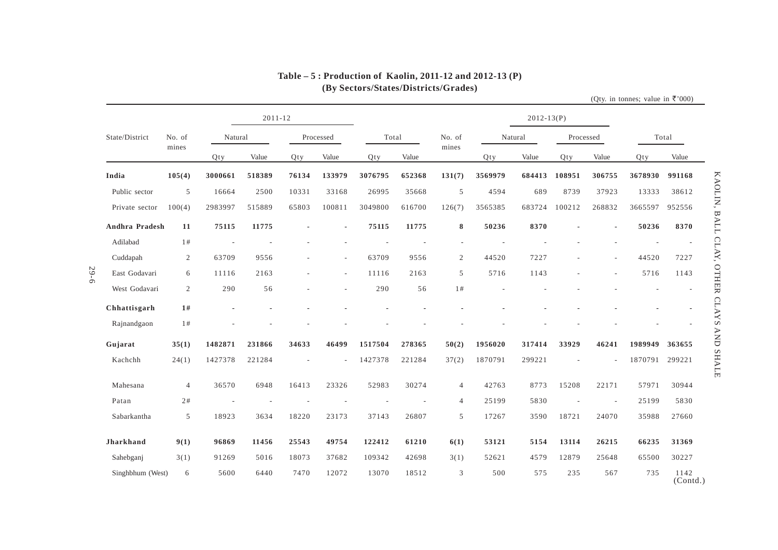|                       |                |         | $2011 - 12$ |       |           |         |        |                          |         | $2012 - 13(P)$ |           |                          |         |                  |
|-----------------------|----------------|---------|-------------|-------|-----------|---------|--------|--------------------------|---------|----------------|-----------|--------------------------|---------|------------------|
| State/District        | No. of         | Natural |             |       | Processed | Total   |        | No. of                   |         | Natural        | Processed |                          | Total   |                  |
|                       | mines          | Qty     | Value       | Qty   | Value     | Qty     | Value  | mines                    | Qty     | Value          | Qty       | Value                    | Qty     | Value            |
| India                 | 105(4)         | 3000661 | 518389      | 76134 | 133979    | 3076795 | 652368 | 131(7)                   | 3569979 | 684413         | 108951    | 306755                   | 3678930 | 991168           |
| Public sector         | 5              | 16664   | 2500        | 10331 | 33168     | 26995   | 35668  | 5                        | 4594    | 689            | 8739      | 37923                    | 13333   | 38612            |
| Private sector        | 100(4)         | 2983997 | 515889      | 65803 | 100811    | 3049800 | 616700 | 126(7)                   | 3565385 | 683724         | 100212    | 268832                   | 3665597 | 952556           |
| <b>Andhra Pradesh</b> | 11             | 75115   | 11775       |       | ÷,        | 75115   | 11775  | 8                        | 50236   | 8370           |           | $\blacksquare$           | 50236   | 8370             |
| Adilabad              | 1#             |         |             |       |           |         |        | $\overline{\phantom{a}}$ |         |                |           |                          |         |                  |
| Cuddapah              | $\overline{2}$ | 63709   | 9556        |       |           | 63709   | 9556   | $\overline{2}$           | 44520   | 7227           |           |                          | 44520   | 7227             |
| East Godavari         | 6              | 11116   | 2163        |       | $\sim$    | 11116   | 2163   | 5                        | 5716    | 1143           |           | ٠                        | 5716    | 1143             |
| West Godavari         | $\overline{2}$ | 290     | 56          |       | ٠         | 290     | 56     | 1#                       |         |                |           |                          |         |                  |
| Chhattisgarh          | 1#             |         |             |       |           |         |        |                          |         |                |           |                          |         |                  |
| Rajnandgaon           | 1#             |         |             |       |           |         |        |                          |         |                |           |                          |         |                  |
| Gujarat               | 35(1)          | 1482871 | 231866      | 34633 | 46499     | 1517504 | 278365 | 50(2)                    | 1956020 | 317414         | 33929     | 46241                    | 1989949 | 363655           |
| Kachchh               | 24(1)          | 1427378 | 221284      |       |           | 1427378 | 221284 | 37(2)                    | 1870791 | 299221         |           |                          | 1870791 | 299221           |
| Mahesana              | $\overline{4}$ | 36570   | 6948        | 16413 | 23326     | 52983   | 30274  | $\overline{4}$           | 42763   | 8773           | 15208     | 22171                    | 57971   | 30944            |
| Patan                 | 2#             |         |             |       |           |         |        | $\overline{4}$           | 25199   | 5830           |           | $\overline{\phantom{a}}$ | 25199   | 5830             |
| Sabarkantha           | 5              | 18923   | 3634        | 18220 | 23173     | 37143   | 26807  | 5                        | 17267   | 3590           | 18721     | 24070                    | 35988   | 27660            |
| <b>Jharkhand</b>      | 9(1)           | 96869   | 11456       | 25543 | 49754     | 122412  | 61210  | 6(1)                     | 53121   | 5154           | 13114     | 26215                    | 66235   | 31369            |
| Sahebganj             | 3(1)           | 91269   | 5016        | 18073 | 37682     | 109342  | 42698  | 3(1)                     | 52621   | 4579           | 12879     | 25648                    | 65500   | 30227            |
| Singhbhum (West)      | 6              | 5600    | 6440        | 7470  | 12072     | 13070   | 18512  | 3                        | 500     | 575            | 235       | 567                      | 735     | 1142<br>(Contd.) |

## **Table – 5 : Production of Kaolin, 2011-12 and 2012-13 (P)(By Sectors/States/Districts/Grades)**

29-6

KAOLIN, BALL CLAY, OTHER CLAYS AND SHALE KAOLIN, BALL CLAY, OTHER CLAYS AND SHALE

(Qty. in tonnes; value in  $\overline{\tau}$ '000)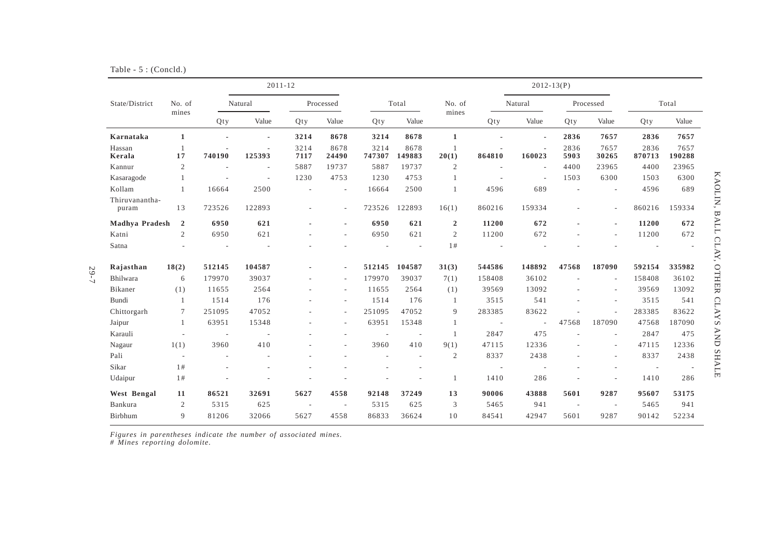|  |  |  | Table $-5$ : (Concld.) |
|--|--|--|------------------------|
|--|--|--|------------------------|

29-7

|                         |                          |                          | $2011 - 12$              |                          |                          |                |                          |                         |                          | $2012 - 13(P)$           |              |                          |                          |                |
|-------------------------|--------------------------|--------------------------|--------------------------|--------------------------|--------------------------|----------------|--------------------------|-------------------------|--------------------------|--------------------------|--------------|--------------------------|--------------------------|----------------|
| State/District          | No. of                   |                          | Natural                  |                          | Processed                |                | Total                    | No. of                  |                          | Natural                  |              | Processed                |                          | Total          |
|                         | mines                    | Qty                      | Value                    | Qty                      | Value                    | Qty            | Value                    | mines                   | Qty                      | Value                    | Qty          | Value                    | Qty                      | Value          |
| Karnataka               | $\mathbf{1}$             |                          | $\overline{a}$           | 3214                     | 8678                     | 3214           | 8678                     | $\mathbf{1}$            |                          | $\blacksquare$           | 2836         | 7657                     | 2836                     | 7657           |
| Hassan<br>Kerala        | -1<br>17                 | 740190                   | 125393                   | 3214<br>7117             | 8678<br>24490            | 3214<br>747307 | 8678<br>149883           | $\overline{1}$<br>20(1) | 864810                   | 160023                   | 2836<br>5903 | 7657<br>30265            | 2836<br>870713           | 7657<br>190288 |
| Kannur                  | 2                        | $\overline{\phantom{a}}$ | $\overline{\phantom{a}}$ | 5887                     | 19737                    | 5887           | 19737                    | $\mathfrak{2}$          |                          | $\overline{\phantom{a}}$ | 4400         | 23965                    | 4400                     | 23965          |
| Kasaragode              | $\overline{1}$           |                          | $\overline{a}$           | 1230                     | 4753                     | 1230           | 4753                     | $\mathbf{1}$            |                          | $\overline{\phantom{a}}$ | 1503         | 6300                     | 1503                     | 6300           |
| Kollam                  | $\overline{1}$           | 16664                    | 2500                     |                          | $\overline{\phantom{a}}$ | 16664          | 2500                     | $\overline{1}$          | 4596                     | 689                      |              | ٠                        | 4596                     | 689            |
| Thiruvanantha-<br>puram | 13                       | 723526                   | 122893                   |                          | $\overline{\phantom{a}}$ | 723526         | 122893                   | 16(1)                   | 860216                   | 159334                   |              | $\overline{a}$           | 860216                   | 159334         |
| Madhya Pradesh          | $\overline{2}$           | 6950                     | 621                      |                          | ÷,                       | 6950           | 621                      | $\overline{2}$          | 11200                    | 672                      |              | ÷                        | 11200                    | 672            |
| Katni                   | $\mathfrak{2}$           | 6950                     | 621                      |                          | $\overline{a}$           | 6950           | 621                      | $\overline{c}$          | 11200                    | 672                      |              | $\overline{a}$           | 11200                    | 672            |
| Satna                   |                          |                          | $\overline{a}$           |                          |                          |                |                          | 1#                      |                          |                          |              |                          |                          |                |
| Rajasthan               | 18(2)                    | 512145                   | 104587                   |                          | $\blacksquare$           | 512145         | 104587                   | 31(3)                   | 544586                   | 148892                   | 47568        | 187090                   | 592154                   | 335982         |
| Bhilwara                | 6                        | 179970                   | 39037                    |                          | $\sim$                   | 179970         | 39037                    | 7(1)                    | 158408                   | 36102                    |              | $\overline{\phantom{a}}$ | 158408                   | 36102          |
| Bikaner                 | (1)                      | 11655                    | 2564                     |                          | ٠                        | 11655          | 2564                     | (1)                     | 39569                    | 13092                    |              | ٠                        | 39569                    | 13092          |
| Bundi                   | $\overline{1}$           | 1514                     | 176                      |                          | $\sim$                   | 1514           | 176                      | -1                      | 3515                     | 541                      |              | ٠                        | 3515                     | 541            |
| Chittorgarh             | $7\phantom{.0}$          | 251095                   | 47052                    |                          | $\overline{\phantom{0}}$ | 251095         | 47052                    | 9                       | 283385                   | 83622                    |              | $\overline{a}$           | 283385                   | 83622          |
| Jaipur                  | -1                       | 63951                    | 15348                    |                          | L,                       | 63951          | 15348                    | $\mathbf{1}$            | $\overline{\phantom{a}}$ |                          | 47568        | 187090                   | 47568                    | 187090         |
| Karauli                 |                          | $\overline{\phantom{a}}$ | $\overline{a}$           |                          |                          |                | $\overline{\phantom{a}}$ | $\overline{1}$          | 2847                     | 475                      |              | $\overline{\phantom{a}}$ | 2847                     | 475            |
| Nagaur                  | 1(1)                     | 3960                     | 410                      |                          |                          | 3960           | 410                      | 9(1)                    | 47115                    | 12336                    |              | ٠                        | 47115                    | 12336          |
| Pali                    | $\overline{\phantom{a}}$ |                          | $\overline{\phantom{a}}$ |                          |                          |                | ٠                        | $\overline{2}$          | 8337                     | 2438                     |              | $\overline{\phantom{a}}$ | 8337                     | 2438           |
| Sikar                   | 1#                       |                          |                          |                          |                          |                |                          |                         | $\overline{\phantom{a}}$ |                          |              |                          | $\overline{\phantom{a}}$ |                |
| Udaipur                 | 1#                       |                          |                          |                          |                          |                |                          | $\mathbf{1}$            | 1410                     | 286                      |              | ٠                        | 1410                     | 286            |
| West Bengal             | 11                       | 86521                    | 32691                    | 5627                     | 4558                     | 92148          | 37249                    | 13                      | 90006                    | 43888                    | 5601         | 9287                     | 95607                    | 53175          |
| Bankura                 | 2                        | 5315                     | 625                      | $\overline{\phantom{a}}$ | $\overline{\phantom{a}}$ | 5315           | 625                      | 3                       | 5465                     | 941                      | $\sim$       | $\sim$                   | 5465                     | 941            |
| Birbhum                 | 9                        | 81206                    | 32066                    | 5627                     | 4558                     | 86833          | 36624                    | 10                      | 84541                    | 42947                    | 5601         | 9287                     | 90142                    | 52234          |

*Figures in parentheses indicate the number of associated mines. # Mines reporting dolomite.*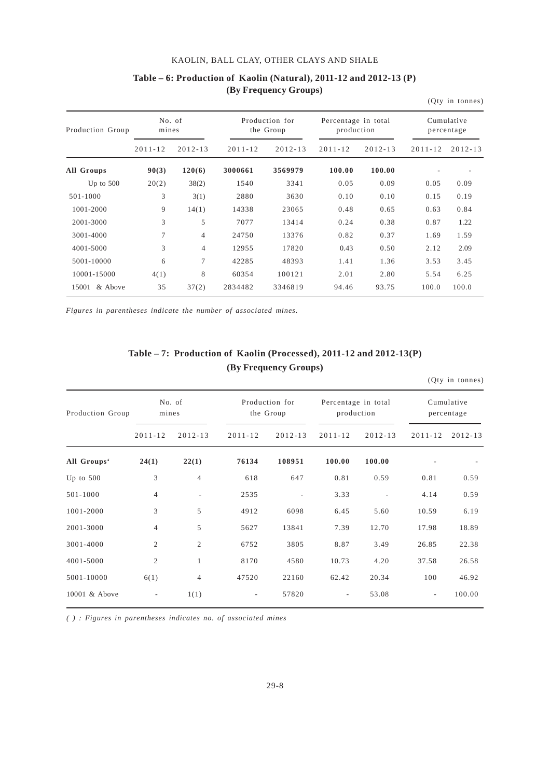|                  |                 |                |             |                             |                                   |             |                          | (Qty in tonnes) |  |
|------------------|-----------------|----------------|-------------|-----------------------------|-----------------------------------|-------------|--------------------------|-----------------|--|
| Production Group | No. of<br>mines |                |             | Production for<br>the Group | Percentage in total<br>production |             | Cumulative<br>percentage |                 |  |
|                  | $2011 - 12$     | $2012 - 13$    | $2011 - 12$ | $2012 - 13$                 | $2011 - 12$                       | $2012 - 13$ | $2011 - 12$              | $2012 - 13$     |  |
| All Groups       | 90(3)           | 120(6)         | 3000661     | 3569979                     | 100.00                            | 100.00      |                          |                 |  |
| Up to $500$      | 20(2)           | 38(2)          | 1540        | 3341                        | 0.05                              | 0.09        | 0.05                     | 0.09            |  |
| 501-1000         | 3               | 3(1)           | 2880        | 3630                        | 0.10                              | 0.10        | 0.15                     | 0.19            |  |
| 1001-2000        | 9               | 14(1)          | 14338       | 23065                       | 0.48                              | 0.65        | 0.63                     | 0.84            |  |
| 2001-3000        | 3               | 5              | 7077        | 13414                       | 0.24                              | 0.38        | 0.87                     | 1.22            |  |
| 3001-4000        | 7               | $\overline{4}$ | 24750       | 13376                       | 0.82                              | 0.37        | 1.69                     | 1.59            |  |
| 4001-5000        | 3               | 4              | 12955       | 17820                       | 0.43                              | 0.50        | 2.12                     | 2.09            |  |
| 5001-10000       | 6               | 7              | 42285       | 48393                       | 1.41                              | 1.36        | 3.53                     | 3.45            |  |
| 10001-15000      | 4(1)            | 8              | 60354       | 100121                      | 2.01                              | 2.80        | 5.54                     | 6.25            |  |
| 15001<br>& Above | 35              | 37(2)          | 2834482     | 3346819                     | 94.46                             | 93.75       | 100.0                    | 100.0           |  |

## **Table – 6: Production of Kaolin (Natural), 2011-12 and 2012-13 (P) (By Frequency Groups)**

*Figures in parentheses indicate the number of associated mines.*

## **Table – 7: Production of Kaolin (Processed), 2011-12 and 2012-13(P) (By Frequency Groups)**

|                  |                |                |             |                             |                                   |             |                          | (Qty in tonnes) |  |
|------------------|----------------|----------------|-------------|-----------------------------|-----------------------------------|-------------|--------------------------|-----------------|--|
| Production Group | mines          | No. of         |             | Production for<br>the Group | Percentage in total<br>production |             | Cumulative<br>percentage |                 |  |
|                  | $2011 - 12$    | $2012 - 13$    | $2011 - 12$ | $2012 - 13$                 | $2011 - 12$                       | $2012 - 13$ | $2011 - 12$              | $2012 - 13$     |  |
| All Groups'      | 24(1)          | 22(1)          | 76134       | 108951                      | 100.00                            | 100.00      |                          |                 |  |
| Up to $500$      | 3              | $\overline{4}$ | 618         | 647                         | 0.81                              | 0.59        | 0.81                     | 0.59            |  |
| 501-1000         | $\overline{4}$ | ٠              | 2535        |                             | 3.33                              |             | 4.14                     | 0.59            |  |
| 1001-2000        | 3              | 5              | 4912        | 6098                        | 6.45                              | 5.60        | 10.59                    | 6.19            |  |
| 2001-3000        | $\overline{4}$ | 5              | 5627        | 13841                       | 7.39                              | 12.70       | 17.98                    | 18.89           |  |
| 3001-4000        | $\mathfrak{2}$ | $\overline{2}$ | 6752        | 3805                        | 8.87                              | 3.49        | 26.85                    | 22.38           |  |
| 4001-5000        | $\overline{2}$ | $\mathbf{1}$   | 8170        | 4580                        | 10.73                             | 4.20        | 37.58                    | 26.58           |  |
| 5001-10000       | 6(1)           | 4              | 47520       | 22160                       | 62.42                             | 20.34       | 100                      | 46.92           |  |
| 10001 & Above    | $\overline{a}$ | 1(1)           | ٠           | 57820                       | $\overline{\phantom{a}}$          | 53.08       | $\overline{\phantom{a}}$ | 100.00          |  |

*( ) : Figures in parentheses indicates no. of associated mines*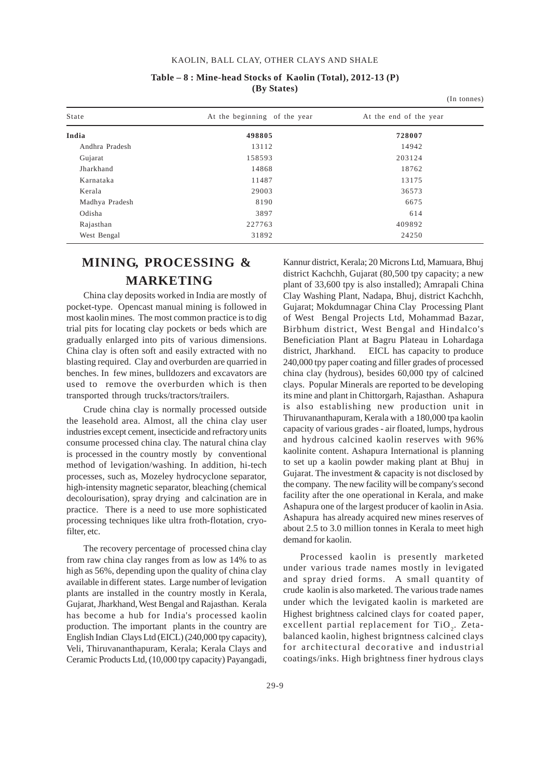|                |                              | (In tonnes)            |  |
|----------------|------------------------------|------------------------|--|
| State          | At the beginning of the year | At the end of the year |  |
| India          | 498805                       | 728007                 |  |
| Andhra Pradesh | 13112                        | 14942                  |  |
| Gujarat        | 158593                       | 203124                 |  |
| Jharkhand      | 14868                        | 18762                  |  |
| Karnataka      | 11487                        | 13175                  |  |
| Kerala         | 29003                        | 36573                  |  |
| Madhya Pradesh | 8190                         | 6675                   |  |
| Odisha         | 3897                         | 614                    |  |
| Rajasthan      | 227763                       | 409892                 |  |
| West Bengal    | 31892                        | 24250                  |  |

#### **Table – 8 : Mine-head Stocks of Kaolin (Total), 2012-13 (P) (By States)**

## **MINING, PROCESSING & MARKETING**

China clay deposits worked in India are mostly of pocket-type. Opencast manual mining is followed in most kaolin mines. The most common practice is to dig trial pits for locating clay pockets or beds which are gradually enlarged into pits of various dimensions. China clay is often soft and easily extracted with no blasting required. Clay and overburden are quarried in benches. In few mines, bulldozers and excavators are used to remove the overburden which is then transported through trucks/tractors/trailers.

Crude china clay is normally processed outside the leasehold area. Almost, all the china clay user industries except cement, insecticide and refractory units consume processed china clay. The natural china clay is processed in the country mostly by conventional method of levigation/washing. In addition, hi-tech processes, such as, Mozeley hydrocyclone separator, high-intensity magnetic separator, bleaching (chemical decolourisation), spray drying and calcination are in practice. There is a need to use more sophisticated processing techniques like ultra froth-flotation, cryofilter, etc.

The recovery percentage of processed china clay from raw china clay ranges from as low as 14% to as high as 56%, depending upon the quality of china clay available in different states. Large number of levigation plants are installed in the country mostly in Kerala, Gujarat, Jharkhand, West Bengal and Rajasthan. Kerala has become a hub for India's processed kaolin production. The important plants in the country are English Indian Clays Ltd (EICL) (240,000 tpy capacity), Veli, Thiruvananthapuram, Kerala; Kerala Clays and Ceramic Products Ltd, (10,000 tpy capacity) Payangadi,

Kannur district, Kerala; 20 Microns Ltd, Mamuara, Bhuj district Kachchh, Gujarat (80,500 tpy capacity; a new plant of 33,600 tpy is also installed); Amrapali China Clay Washing Plant, Nadapa, Bhuj, district Kachchh, Gujarat; Mokdumnagar China Clay Processing Plant of West Bengal Projects Ltd, Mohammad Bazar, Birbhum district, West Bengal and Hindalco's Beneficiation Plant at Bagru Plateau in Lohardaga district, Jharkhand. EICL has capacity to produce 240,000 tpy paper coating and filler grades of processed china clay (hydrous), besides 60,000 tpy of calcined clays. Popular Minerals are reported to be developing its mine and plant in Chittorgarh, Rajasthan. Ashapura is also establishing new production unit in Thiruvananthapuram, Kerala with a 180,000 tpa kaolin capacity of various grades - air floated, lumps, hydrous and hydrous calcined kaolin reserves with 96% kaolinite content. Ashapura International is planning to set up a kaolin powder making plant at Bhuj in Gujarat. The investment & capacity is not disclosed by the company. The new facility will be company's second facility after the one operational in Kerala, and make Ashapura one of the largest producer of kaolin in Asia. Ashapura has already acquired new mines reserves of about 2.5 to 3.0 million tonnes in Kerala to meet high demand for kaolin.

Processed kaolin is presently marketed under various trade names mostly in levigated and spray dried forms. A small quantity of crude kaolin is also marketed. The various trade names under which the levigated kaolin is marketed are Highest brightness calcined clays for coated paper, excellent partial replacement for TiO<sub>2</sub>. Zetabalanced kaolin, highest brigntness calcined clays for architectural decorative and industrial coatings/inks. High brightness finer hydrous clays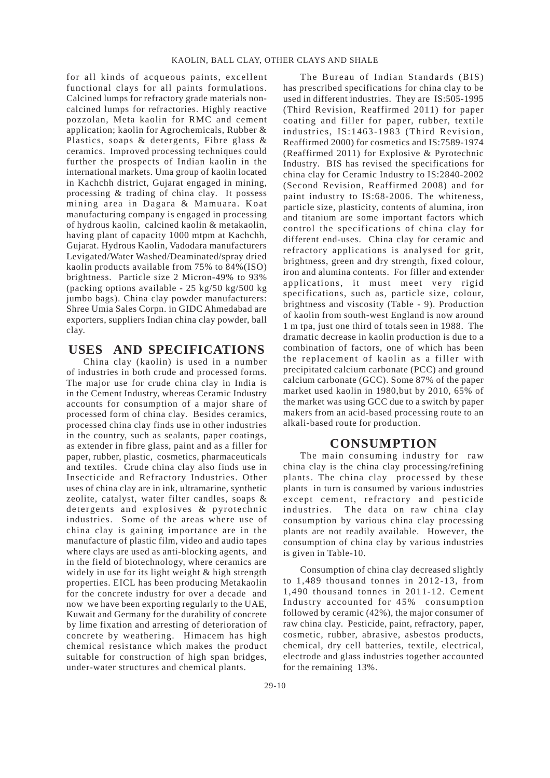for all kinds of acqueous paints, excellent functional clays for all paints formulations. Calcined lumps for refractory grade materials noncalcined lumps for refractories. Highly reactive pozzolan, Meta kaolin for RMC and cement application; kaolin for Agrochemicals, Rubber & Plastics, soaps & detergents, Fibre glass & ceramics. Improved processing techniques could further the prospects of Indian kaolin in the international markets. Uma group of kaolin located in Kachchh district, Gujarat engaged in mining, processing & trading of china clay. It possess mining area in Dagara & Mamuara. Koat manufacturing company is engaged in processing of hydrous kaolin, calcined kaolin & metakaolin, having plant of capacity 1000 mtpm at Kachchh, Gujarat. Hydrous Kaolin, Vadodara manufacturers Levigated/Water Washed/Deaminated/spray dried kaolin products available from 75% to 84%(ISO) brightness. Particle size 2 Micron-49% to 93% (packing options available - 25 kg/50 kg/500 kg jumbo bags). China clay powder manufacturers: Shree Umia Sales Corpn. in GIDC Ahmedabad are exporters, suppliers Indian china clay powder, ball clay.

## **USES AND SPECIFICATIONS**

China clay (kaolin) is used in a number of industries in both crude and processed forms. The major use for crude china clay in India is in the Cement Industry, whereas Ceramic Industry accounts for consumption of a major share of processed form of china clay. Besides ceramics, processed china clay finds use in other industries in the country, such as sealants, paper coatings, as extender in fibre glass, paint and as a filler for paper, rubber, plastic, cosmetics, pharmaceuticals and textiles. Crude china clay also finds use in Insecticide and Refractory Industries. Other uses of china clay are in ink, ultramarine, synthetic zeolite, catalyst, water filter candles, soaps & detergents and explosives & pyrotechnic industries. Some of the areas where use of china clay is gaining importance are in the manufacture of plastic film, video and audio tapes where clays are used as anti-blocking agents, and in the field of biotechnology, where ceramics are widely in use for its light weight & high strength properties. EICL has been producing Metakaolin for the concrete industry for over a decade and now we have been exporting regularly to the UAE, Kuwait and Germany for the durability of concrete by lime fixation and arresting of deterioration of concrete by weathering. Himacem has high chemical resistance which makes the product suitable for construction of high span bridges, under-water structures and chemical plants.

The Bureau of Indian Standards (BIS) has prescribed specifications for china clay to be used in different industries. They are IS:505-1995 (Third Revision, Reaffirmed 2011) for paper coating and filler for paper, rubber, textile industries, IS:1463-1983 (Third Revision, Reaffirmed 2000) for cosmetics and IS:7589-1974 (Reaffirmed 2011) for Explosive & Pyrotechnic Industry. BIS has revised the specifications for china clay for Ceramic Industry to IS:2840-2002 (Second Revision, Reaffirmed 2008) and for paint industry to IS:68-2006. The whiteness, particle size, plasticity, contents of alumina, iron and titanium are some important factors which control the specifications of china clay for different end-uses. China clay for ceramic and refractory applications is analysed for grit, brightness, green and dry strength, fixed colour, iron and alumina contents. For filler and extender applications, it must meet very rigid specifications, such as, particle size, colour, brightness and viscosity (Table - 9). Production of kaolin from south-west England is now around 1 m tpa, just one third of totals seen in 1988. The dramatic decrease in kaolin production is due to a combination of factors, one of which has been the replacement of kaolin as a filler with precipitated calcium carbonate (PCC) and ground calcium carbonate (GCC). Some 87% of the paper market used kaolin in 1980,but by 2010, 65% of the market was using GCC due to a switch by paper makers from an acid-based processing route to an alkali-based route for production.

### **CONSUMPTION**

The main consuming industry for raw china clay is the china clay processing/refining plants. The china clay processed by these plants in turn is consumed by various industries except cement, refractory and pesticide industries. The data on raw china clay consumption by various china clay processing plants are not readily available. However, the consumption of china clay by various industries is given in Table-10.

Consumption of china clay decreased slightly to 1,489 thousand tonnes in 2012-13, from 1,490 thousand tonnes in 2011-12. Cement Industry accounted for 45% consumption followed by ceramic (42%), the major consumer of raw china clay. Pesticide, paint, refractory, paper, cosmetic, rubber, abrasive, asbestos products, chemical, dry cell batteries, textile, electrical, electrode and glass industries together accounted for the remaining 13%.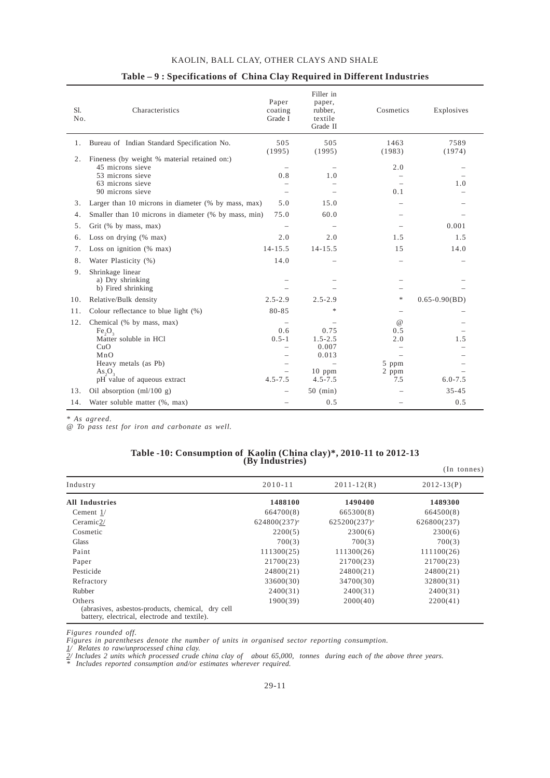| Sl.<br>No. | Characteristics                                                                                                                                | Paper<br>coating<br>Grade I                                 | Filler in<br>paper,<br>rubber,<br>textile<br>Grade II            | Cosmetics                                       | Explosives               |
|------------|------------------------------------------------------------------------------------------------------------------------------------------------|-------------------------------------------------------------|------------------------------------------------------------------|-------------------------------------------------|--------------------------|
| 1.         | Bureau of Indian Standard Specification No.                                                                                                    | 505<br>(1995)                                               | 505<br>(1995)                                                    | 1463<br>(1983)                                  | 7589<br>(1974)           |
| 2.         | Fineness (by weight % material retained on:)<br>45 microns sieve<br>53 microns sieve<br>63 microns sieve<br>90 microns sieve                   | 0.8<br>$\overline{\phantom{0}}$<br>$\overline{\phantom{0}}$ | 1.0                                                              | 2.0<br>0.1                                      | 1.0                      |
| 3.         | Larger than 10 microns in diameter (% by mass, max)                                                                                            | 5.0                                                         | 15.0                                                             |                                                 |                          |
| 4.         | Smaller than 10 microns in diameter (% by mass, min)                                                                                           | 75.0                                                        | 60.0                                                             |                                                 |                          |
| 5.         | Grit (% by mass, max)                                                                                                                          | $\overline{\phantom{0}}$                                    | $\overbrace{\phantom{1232211}}$                                  |                                                 | 0.001                    |
| 6.         | Loss on drying $(\%$ max)                                                                                                                      | 2.0                                                         | 2.0                                                              | 1.5                                             | 1.5                      |
| 7.         | Loss on ignition $(\%$ max)                                                                                                                    | $14 - 15.5$                                                 | $14 - 15.5$                                                      | 15                                              | 14.0                     |
| 8.         | Water Plasticity (%)                                                                                                                           | 14.0                                                        |                                                                  | $\overline{\phantom{0}}$                        | $\overline{\phantom{0}}$ |
| 9.         | Shrinkage linear<br>a) Dry shrinking<br>b) Fired shrinking                                                                                     |                                                             |                                                                  |                                                 |                          |
| 10.        | Relative/Bulk density                                                                                                                          | $2.5 - 2.9$                                                 | $2.5 - 2.9$                                                      | $\frac{1}{2}$                                   | $0.65 - 0.90(BD)$        |
| 11.        | Colour reflectance to blue light $(\%)$                                                                                                        | 80-85                                                       | *                                                                | $\overline{\phantom{m}}$                        |                          |
| 12.        | Chemical (% by mass, max)<br>$Fe_2O_3$<br>Matter soluble in HCl<br>CuO<br>MnO<br>Heavy metals (as Pb)<br>As, O,<br>pH value of aqueous extract | 0.6<br>$0.5 - 1$<br>$\overline{\phantom{0}}$<br>$4.5 - 7.5$ | 0.75<br>$1.5 - 2.5$<br>0.007<br>0.013<br>$10$ ppm<br>$4.5 - 7.5$ | $\omega$<br>0.5<br>2.0<br>5 ppm<br>2 ppm<br>7.5 | 1.5<br>$6.0 - 7.5$       |
| 13.        | Oil absorption (ml/100 g)                                                                                                                      | $\overline{\phantom{0}}$                                    | $50 \, (min)$                                                    |                                                 | $35 - 45$                |
| 14.        | Water soluble matter (%, max)                                                                                                                  |                                                             | 0.5                                                              |                                                 | 0.5                      |

#### **Table – 9 : Specifications of China Clay Required in Different Industries**

*\* As agreed.*

*@ To pass test for iron and carbonate as well.*

#### **Table -10: Consumption of Kaolin (China clay)\*, 2010-11 to 2012-13 (By Industries)**

|                                                                                                             |                            |                            | $(In$ tonnes)  |
|-------------------------------------------------------------------------------------------------------------|----------------------------|----------------------------|----------------|
| Industry                                                                                                    | $2010 - 11$                | $2011 - 12(R)$             | $2012 - 13(P)$ |
| <b>All Industries</b>                                                                                       | 1488100                    | 1490400                    | 1489300        |
| Cement $1/$                                                                                                 | 664700(8)                  | 665300(8)                  | 664500(8)      |
| Ceramic2/                                                                                                   | $624800(237)$ <sup>e</sup> | $625200(237)$ <sup>e</sup> | 626800(237)    |
| Cosmetic                                                                                                    | 2200(5)                    | 2300(6)                    | 2300(6)        |
| <b>Glass</b>                                                                                                | 700(3)                     | 700(3)                     | 700(3)         |
| Paint                                                                                                       | 111300(25)                 | 111300(26)                 | 111100(26)     |
| Paper                                                                                                       | 21700(23)                  | 21700(23)                  | 21700(23)      |
| Pesticide                                                                                                   | 24800(21)                  | 24800(21)                  | 24800(21)      |
| Refractory                                                                                                  | 33600(30)                  | 34700(30)                  | 32800(31)      |
| Rubber                                                                                                      | 2400(31)                   | 2400(31)                   | 2400(31)       |
| Others<br>(abrasives, asbestos-products, chemical, dry cell<br>battery, electrical, electrode and textile). | 1900(39)                   | 2000(40)                   | 2200(41)       |

*Figures rounded off.*

*Figures in parentheses denote the number of units in organised sector reporting consumption.*

*1/ Relates to raw/unprocessed china clay.*

*2/ Includes 2 units which processed crude china clay of about 65,000, tonnes during each of the above three years.*

*\* Includes reported consumption and/or estimates wherever required.*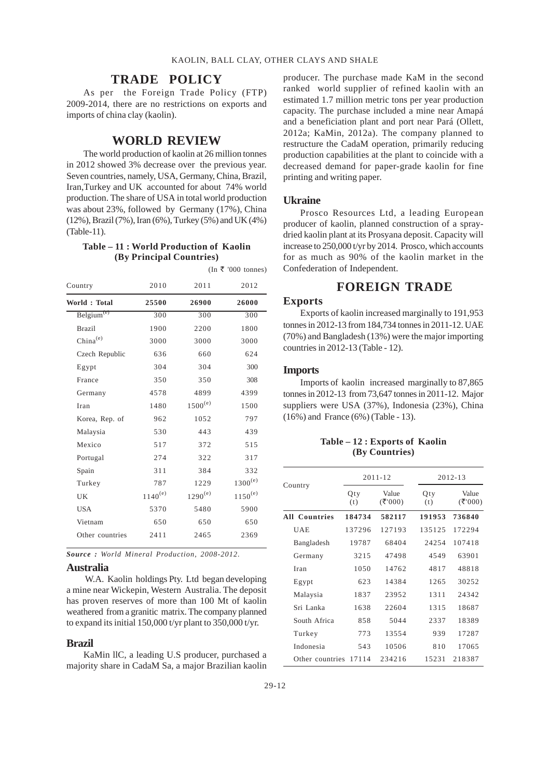#### **TRADE POLICY**

As per the Foreign Trade Policy (FTP) 2009-2014, there are no restrictions on exports and imports of china clay (kaolin).

#### **WORLD REVIEW**

The world production of kaolin at 26 million tonnes in 2012 showed 3% decrease over the previous year. Seven countries, namely, USA, Germany, China, Brazil, Iran,Turkey and UK accounted for about 74% world production. The share of USA in total world production was about 23%, followed by Germany (17%), China (12%), Brazil (7%), Iran (6%), Turkey (5%) and UK (4%) (Table-11).

#### **Table – 11 : World Production of Kaolin (By Principal Countries)**

 $(In \t{F}$  '000 tonnes)

| Country                | 2010         | 2011         | 2012         |
|------------------------|--------------|--------------|--------------|
| World: Total           | 25500        | 26900        | 26000        |
| Belgium <sup>(e)</sup> | 300          | 300          | 300          |
| <b>Brazil</b>          | 1900         | 2200         | 1800         |
| $China^{(e)}$          | 3000         | 3000         | 3000         |
| Czech Republic         | 636          | 660          | 624          |
| Egypt                  | 304          | 304          | 300          |
| France                 | 350          | 350          | 308          |
| Germany                | 4578         | 4899         | 4399         |
| Iran                   | 1480         | $1500^{(e)}$ | 1500         |
| Korea, Rep. of         | 962          | 1052         | 797          |
| Malaysia               | 530          | 443          | 439          |
| Mexico                 | 517          | 372          | 515          |
| Portugal               | 274          | 322          | 317          |
| Spain                  | 311          | 384          | 332          |
| Turkey                 | 787          | 1229         | $1300^{(e)}$ |
| UK                     | $1140^{(e)}$ | $1290^{(e)}$ | $1150^{(e)}$ |
| <b>USA</b>             | 5370         | 5480         | 5900         |
| Vietnam                | 650          | 650          | 650          |
| Other countries        | 2411         | 2465         | 2369         |
|                        |              |              |              |

*Source : World Mineral Production, 2008-2012.*

#### **Australia**

 W.A. Kaolin holdings Pty. Ltd began developing a mine near Wickepin, Western Australia. The deposit has proven reserves of more than 100 Mt of kaolin weathered from a granitic matrix. The company planned to expand its initial 150,000 t/yr plant to 350,000 t/yr.

#### **Brazil**

KaMin llC, a leading U.S producer, purchased a majority share in CadaM Sa, a major Brazilian kaolin producer. The purchase made KaM in the second ranked world supplier of refined kaolin with an estimated 1.7 million metric tons per year production capacity. The purchase included a mine near Amapá and a beneficiation plant and port near Pará (Ollett, 2012a; KaMin, 2012a). The company planned to restructure the CadaM operation, primarily reducing production capabilities at the plant to coincide with a decreased demand for paper-grade kaolin for fine printing and writing paper.

#### **Ukraine**

Prosco Resources Ltd, a leading European producer of kaolin, planned construction of a spraydried kaolin plant at its Prosyana deposit. Capacity will increase to 250,000 t/yr by 2014. Prosco, which accounts for as much as 90% of the kaolin market in the Confederation of Independent.

## **FOREIGN TRADE**

#### **Exports**

Exports of kaolin increased marginally to 191,953 tonnes in 2012-13 from 184,734 tonnes in 2011-12. UAE (70%) and Bangladesh (13%) were the major importing countries in 2012-13 (Table - 12).

#### **Imports**

Imports of kaolin increased marginally to 87,865 tonnes in 2012-13 from 73,647 tonnes in 2011-12. Major suppliers were USA (37%), Indonesia (23%), China (16%) and France (6%) (Table - 13).

#### **Table – 12 : Exports of Kaolin (By Countries)**

|                 |            | $2011 - 12$      |            | 2012-13         |  |  |
|-----------------|------------|------------------|------------|-----------------|--|--|
| Country         | Qty<br>(t) | Value<br>(₹'000) | Qty<br>(t) | Value<br>(5000) |  |  |
| All Countries   | 184734     | 582117           | 191953     | 736840          |  |  |
| <b>UAE</b>      | 137296     | 127193           | 135125     | 172294          |  |  |
| Bangladesh      | 19787      | 68404            | 24254      | 107418          |  |  |
| Germany         | 3215       | 47498            | 4549       | 63901           |  |  |
| Iran            | 1050       | 14762            | 4817       | 48818           |  |  |
| Egypt           | 623        | 14384            | 1265       | 30252           |  |  |
| Malaysia        | 1837       | 23952            | 1311       | 24342           |  |  |
| Sri Lanka       | 1638       | 22604            | 1315       | 18687           |  |  |
| South Africa    | 858        | 5044             | 2337       | 18389           |  |  |
| Turkey          | 773        | 13554            | 939        | 17287           |  |  |
| Indonesia       | 543        | 10506            | 810        | 17065           |  |  |
| Other countries | 17114      | 234216           | 15231      | 218387          |  |  |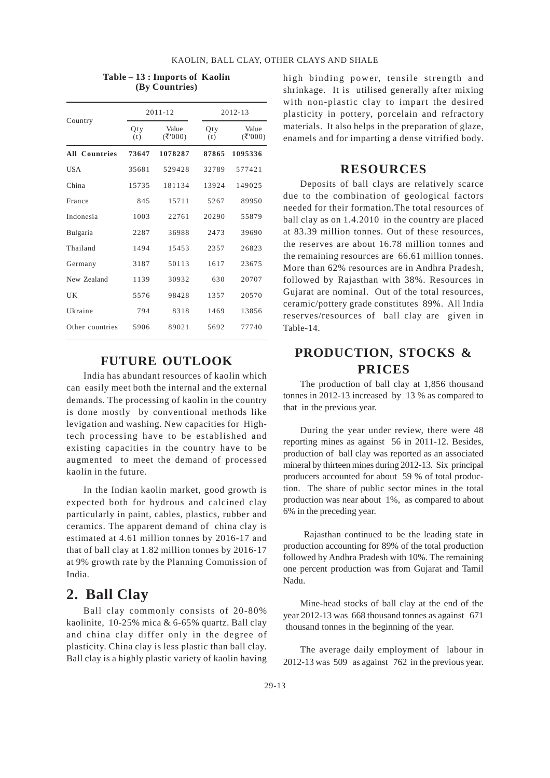|                      |            | $2011 - 12$     |            | $2012 - 13$     |  |  |
|----------------------|------------|-----------------|------------|-----------------|--|--|
| Country              | Oty<br>(t) | Value<br>(5000) | Qty<br>(t) | Value<br>(7000) |  |  |
| <b>All Countries</b> | 73647      | 1078287         | 87865      | 1095336         |  |  |
| <b>USA</b>           | 35681      | 529428          | 32789      | 577421          |  |  |
| China                | 15735      | 181134          | 13924      | 149025          |  |  |
| France               | 845        | 15711           | 5267       | 89950           |  |  |
| Indonesia            | 1003       | 22761           | 20290      | 55879           |  |  |
| Bulgaria             | 2287       | 36988           | 2473       | 39690           |  |  |
| Thailand             | 1494       | 15453           | 2357       | 26823           |  |  |
| Germany              | 3187       | 50113           | 1617       | 23675           |  |  |
| New Zealand          | 1139       | 30932           | 630        | 20707           |  |  |
| UK                   | 5576       | 98428           | 1357       | 20570           |  |  |
| Ukraine              | 794        | 8318            | 1469       | 13856           |  |  |
| Other countries      | 5906       | 89021           | 5692       | 77740           |  |  |

#### **Table – 13 : Imports of Kaolin (By Countries)**

## **FUTURE OUTLOOK**

India has abundant resources of kaolin which can easily meet both the internal and the external demands. The processing of kaolin in the country is done mostly by conventional methods like levigation and washing. New capacities for Hightech processing have to be established and existing capacities in the country have to be augmented to meet the demand of processed kaolin in the future.

In the Indian kaolin market, good growth is expected both for hydrous and calcined clay particularly in paint, cables, plastics, rubber and ceramics. The apparent demand of china clay is estimated at 4.61 million tonnes by 2016-17 and that of ball clay at 1.82 million tonnes by 2016-17 at 9% growth rate by the Planning Commission of India.

## **2. Ball Clay**

Ball clay commonly consists of 20-80% kaolinite, 10-25% mica & 6-65% quartz. Ball clay and china clay differ only in the degree of plasticity. China clay is less plastic than ball clay. Ball clay is a highly plastic variety of kaolin having

high binding power, tensile strength and shrinkage. It is utilised generally after mixing with non-plastic clay to impart the desired plasticity in pottery, porcelain and refractory materials. It also helps in the preparation of glaze, enamels and for imparting a dense vitrified body.

## **RESOURCES**

Deposits of ball clays are relatively scarce due to the combination of geological factors needed for their formation.The total resources of ball clay as on 1.4.2010 in the country are placed at 83.39 million tonnes. Out of these resources, the reserves are about 16.78 million tonnes and the remaining resources are 66.61 million tonnes. More than 62% resources are in Andhra Pradesh, followed by Rajasthan with 38%. Resources in Gujarat are nominal. Out of the total resources, ceramic/pottery grade constitutes 89%. All India reserves/resources of ball clay are given in Table-14.

## **PRODUCTION, STOCKS & PRICES**

The production of ball clay at 1,856 thousand tonnes in 2012-13 increased by 13 % as compared to that in the previous year.

During the year under review, there were 48 reporting mines as against 56 in 2011-12. Besides, production of ball clay was reported as an associated mineral by thirteen mines during 2012-13. Six principal producers accounted for about 59 % of total production. The share of public sector mines in the total production was near about 1%, as compared to about 6% in the preceding year.

 Rajasthan continued to be the leading state in production accounting for 89% of the total production followed by Andhra Pradesh with 10%. The remaining one percent production was from Gujarat and Tamil Nadu.

Mine-head stocks of ball clay at the end of the year 2012-13 was 668 thousand tonnes as against 671 thousand tonnes in the beginning of the year.

The average daily employment of labour in 2012-13 was 509 as against 762 in the previous year.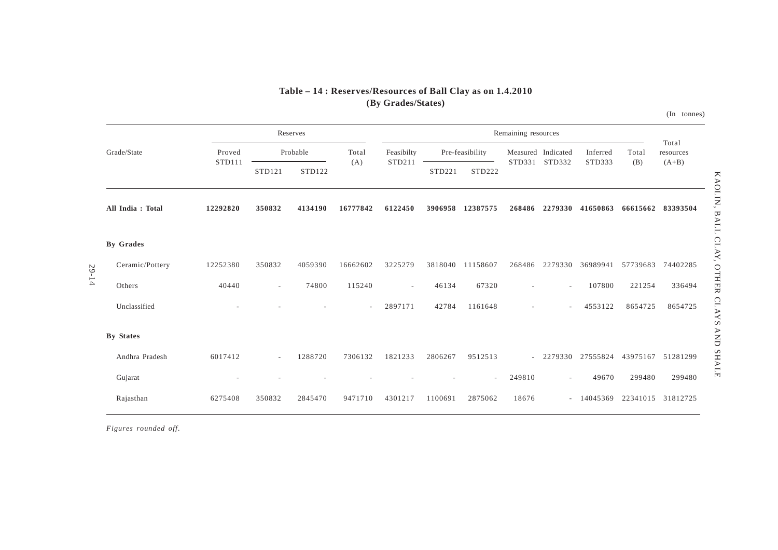## **Table – 14 : Reserves/Resources of Ball Clay as on 1.4.2010(By Grades/States)**

(In tonnes)

|                  |                  |                    | Reserves |          |                          |         |                 | Remaining resources          |                          |                    |          | Total     |
|------------------|------------------|--------------------|----------|----------|--------------------------|---------|-----------------|------------------------------|--------------------------|--------------------|----------|-----------|
| Grade/State      | Proved<br>STD111 |                    | Probable | Total    | Feasibilty<br>STD211     |         | Pre-feasibility | Measured Indicated<br>STD331 | STD332                   | Inferred<br>STD333 | Total    | resources |
|                  |                  | STD <sub>121</sub> | STD122   | (A)      |                          | STD221  | STD222          |                              |                          |                    | (B)      | $(A+B)$   |
| All India: Total | 12292820         | 350832             | 4134190  | 16777842 | 6122450                  | 3906958 | 12387575        | 268486                       | 2279330                  | 41650863           | 66615662 | 83393504  |
| <b>By Grades</b> |                  |                    |          |          |                          |         |                 |                              |                          |                    |          |           |
| Ceramic/Pottery  | 12252380         | 350832             | 4059390  | 16662602 | 3225279                  | 3818040 | 11158607        | 268486                       | 2279330                  | 36989941           | 57739683 | 74402285  |
| Others           | 40440            | $\sim$             | 74800    | 115240   | $\overline{\phantom{a}}$ | 46134   | 67320           |                              |                          | 107800             | 221254   | 336494    |
| Unclassified     |                  |                    |          |          | 2897171                  | 42784   | 1161648         |                              |                          | 4553122            | 8654725  | 8654725   |
| <b>By States</b> |                  |                    |          |          |                          |         |                 |                              |                          |                    |          |           |
| Andhra Pradesh   | 6017412          | $\sim$             | 1288720  | 7306132  | 1821233                  | 2806267 | 9512513         | $\overline{\phantom{a}}$     | 2279330                  | 27555824           | 43975167 | 51281299  |
| Gujarat          |                  |                    |          |          |                          |         | $\sim$          | 249810                       | $\overline{\phantom{a}}$ | 49670              | 299480   | 299480    |
| Rajasthan        | 6275408          | 350832             | 2845470  | 9471710  | 4301217                  | 1100691 | 2875062         | 18676                        |                          | 14045369           | 22341015 | 31812725  |

*Figures rounded off.*

29-14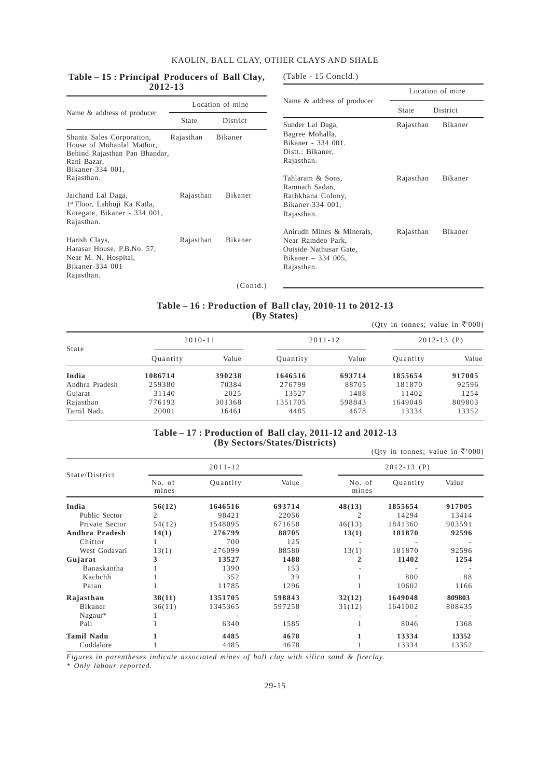#### **Table – 15 : Principal Producers of Ball Clay, 2012-13**

(Table - 15 Concld.)

| 2012-1J                                                                                                                    |              |          |                                                                                                               | Location of mine |          |  |
|----------------------------------------------------------------------------------------------------------------------------|--------------|----------|---------------------------------------------------------------------------------------------------------------|------------------|----------|--|
| Location of mine<br>Name & address of producer                                                                             |              |          | Name & address of producer                                                                                    | State            | District |  |
|                                                                                                                            | <b>State</b> | District | Sunder Lal Daga,                                                                                              | Rajasthan        | Bikaner  |  |
| Shanta Sales Corporation,<br>House of Mohanlal Mathur,<br>Behind Rajasthan Pan Bhandar,<br>Rani Bazar,<br>Bikaner-334 001, | Rajasthan    | Bikaner  | Bagree Mohalla,<br>Bikaner - 334 001.<br>Distt.: Bikaner,<br>Rajasthan.                                       |                  |          |  |
| Rajasthan.                                                                                                                 |              |          | Tahlaram & Sons,<br>Ramnath Sadan.                                                                            | Rajasthan        | Bikaner  |  |
| Jaichand Lal Daga,<br>1 <sup>st</sup> Floor, Labhuji Ka Katla,<br>Kotegate, Bikaner - 334 001,<br>Rajasthan.               | Rajasthan    | Bikaner  | Rathkhana Colony,<br>Bikaner-334 001,<br>Rajasthan.                                                           |                  |          |  |
| Harish Clays,<br>Harasar House, P.B.No. 57,<br>Near M. N. Hospital,<br>Bikaner-334 001<br>Rajasthan.                       | Rajasthan    | Bikaner  | Anirudh Mines & Minerals,<br>Near Ramdeo Park,<br>Outside Nathusar Gate,<br>Bikaner $-334005$ ,<br>Rajasthan. | Rajasthan        | Bikaner  |  |
|                                                                                                                            |              | (Contd.) |                                                                                                               |                  |          |  |

#### **Table – 16 : Production of Ball clay, 2010-11 to 2012-13 (By States)**

|                |             |        |             |        | (Oty in tonnes; value in ₹'000) |        |
|----------------|-------------|--------|-------------|--------|---------------------------------|--------|
| State          | $2010 - 11$ |        | $2011 - 12$ |        | $2012 - 13$ (P)                 |        |
|                | Quantity    | Value  | Quantity    | Value  | Quantity                        | Value  |
| India          | 1086714     | 390238 | 1646516     | 693714 | 1855654                         | 917005 |
| Andhra Pradesh | 259380      | 70384  | 276799      | 88705  | 181870                          | 92596  |
| Gujarat        | 31140       | 2025   | 13527       | 1488   | 11402                           | 1254   |
| Rajasthan      | 776193      | 301368 | 1351705     | 598843 | 1649048                         | 809803 |
| Tamil Nadu     | 20001       | 16461  | 4485        | 4678   | 13334                           | 13352  |

#### **Table – 17 : Production of Ball clay, 2011-12 and 2012-13 (By Sectors/States/Districts)**

|                                          |                       |                             |                           |                       | (Qty in tonnes; value in ₹'000) |                           |
|------------------------------------------|-----------------------|-----------------------------|---------------------------|-----------------------|---------------------------------|---------------------------|
|                                          |                       | $2011 - 12$                 |                           |                       | $2012 - 13$ (P)                 |                           |
| State/District                           | No. of<br>mines       | Quantity                    | Value                     | No. of<br>mines       | Quantity                        | Value                     |
| India<br>Public Sector<br>Private Sector | 56(12)<br>2<br>54(12) | 1646516<br>98421<br>1548095 | 693714<br>22056<br>671658 | 48(13)<br>2<br>46(13) | 1855654<br>14294<br>1841360     | 917005<br>13414<br>903591 |
| Andhra Pradesh<br>Chittor                | 14(1)                 | 276799<br>700               | 88705<br>125              | 13(1)                 | 181870                          | 92596                     |
| West Godavari<br>Gujarat<br>Banaskantha  | 13(1)<br>3            | 276099<br>13527<br>1390     | 88580<br>1488<br>153      | 13(1)<br>2            | 181870<br>11402                 | 92596<br>1254             |
| Kachchh<br>Patan                         |                       | 352<br>11785                | 39<br>1296                |                       | 800<br>10602                    | 88<br>1166                |
| Rajasthan<br>Bikaner                     | 38(11)<br>36(11)      | 1351705<br>1345365          | 598843<br>597258          | 32(12)<br>31(12)      | 1649048<br>1641002              | 809803<br>808435          |
| $Nagaur*$<br>Pali                        |                       | 6340                        | 1585                      |                       | 8046                            | 1368                      |
| <b>Tamil Nadu</b><br>Cuddalore           |                       | 4485<br>4485                | 4678<br>4678              | 1                     | 13334<br>13334                  | 13352<br>13352            |

*Figures in parentheses indicate associated mines of ball clay with silica sand & fireclay.*

*\* Only labour reported.*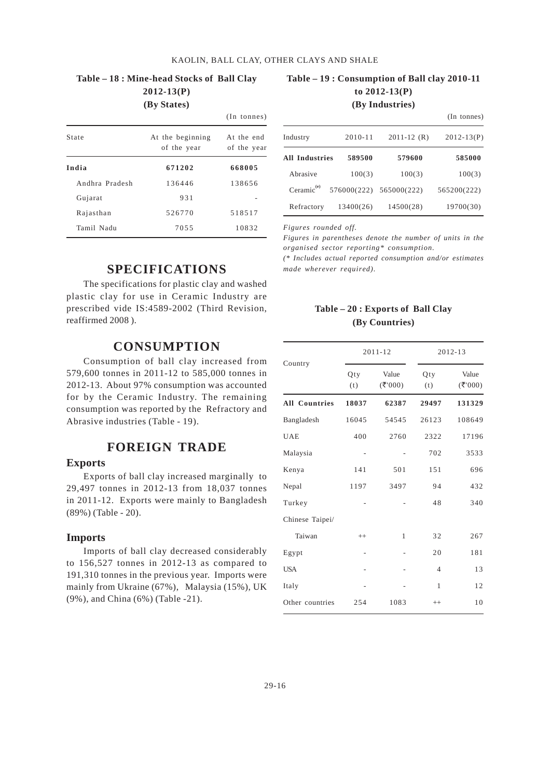## **Table – 18 : Mine-head Stocks of Ball Clay 2012-13(P)**

**(By States)**

|                |                                 | $(In$ tonnes)             |
|----------------|---------------------------------|---------------------------|
| State          | At the beginning<br>of the year | At the end<br>of the year |
| India          | 671202                          | 668005                    |
| Andhra Pradesh | 136446                          | 138656                    |
| Gujarat        | 931                             |                           |
| Rajasthan      | 526770                          | 518517                    |
| Tamil Nadu     | 7055                            | 10832                     |

#### **Table – 19 : Consumption of Ball clay 2010-11 to 2012-13(P) (By Industries)**

|                        |             |                 | (In tonnes)    |
|------------------------|-------------|-----------------|----------------|
| Industry               | $2010 - 11$ | $2011 - 12$ (R) | $2012 - 13(P)$ |
| <b>All Industries</b>  | 589500      | 579600          | 585000         |
| Abrasive               | 100(3)      | 100(3)          | 100(3)         |
| Ceramic <sup>(e)</sup> | 576000(222) | 565000(222)     | 565200(222)    |
| Refractory             | 13400(26)   | 14500(28)       | 19700(30)      |

*Figures rounded off.*

*Figures in parentheses denote the number of units in the organised sector reporting\* consumption.*

*(\* Includes actual reported consumption and/or estimates made wherever required).*

## **SPECIFICATIONS**

The specifications for plastic clay and washed plastic clay for use in Ceramic Industry are prescribed vide IS:4589-2002 (Third Revision, reaffirmed 2008 ).

## **CONSUMPTION**

Consumption of ball clay increased from 579,600 tonnes in 2011-12 to 585,000 tonnes in 2012-13. About 97% consumption was accounted for by the Ceramic Industry. The remaining consumption was reported by the Refractory and Abrasive industries (Table - 19).

## **FOREIGN TRADE**

#### **Exports**

Exports of ball clay increased marginally to 29,497 tonnes in 2012-13 from 18,037 tonnes in 2011-12. Exports were mainly to Bangladesh (89%) (Table - 20).

#### **Imports**

Imports of ball clay decreased considerably to 156,527 tonnes in 2012-13 as compared to 191,310 tonnes in the previous year. Imports were mainly from Ukraine (67%), Malaysia (15%), UK (9%), and China (6%) (Table -21).

#### **Table – 20 : Exports of Ball Clay (By Countries)**

|                      |                | $2011 - 12$     |                | 2012-13        |  |  |
|----------------------|----------------|-----------------|----------------|----------------|--|--|
| Country              | Qty<br>(t)     | Value<br>(7000) | Qty<br>(t)     | Value<br>(300) |  |  |
| <b>All Countries</b> | 18037          | 62387           | 29497          | 131329         |  |  |
| Bangladesh           | 16045          | 54545           | 26123          | 108649         |  |  |
| <b>UAE</b>           | 400            | 2760            | 2322           | 17196          |  |  |
| Malaysia             |                |                 | 702            | 3533           |  |  |
| Kenya                | 141            | 501             | 151            | 696            |  |  |
| Nepal                | 1197           | 3497            | 94             | 432            |  |  |
| Turkey               |                |                 | 48             | 340            |  |  |
| Chinese Taipei/      |                |                 |                |                |  |  |
| Taiwan               | $++$           | $\mathbf{1}$    | 32             | 267            |  |  |
| Egypt                | $\overline{a}$ |                 | 20             | 181            |  |  |
| <b>USA</b>           |                |                 | $\overline{4}$ | 13             |  |  |
| Italy                |                |                 | $\mathbf{1}$   | 12             |  |  |
| Other countries      | 254            | 1083            | $++$           | 10             |  |  |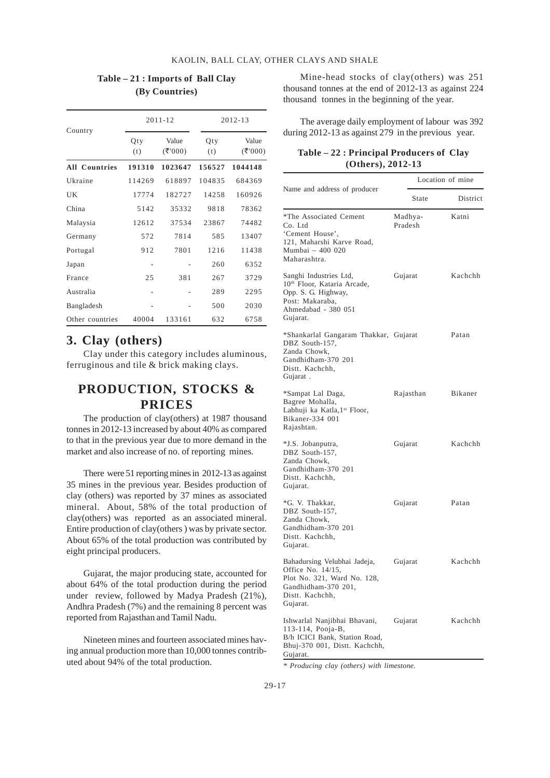|                      |            | 2011-12           |            | 2012-13           |  |  |
|----------------------|------------|-------------------|------------|-------------------|--|--|
| Country              | Qty<br>(t) | Value<br>( ₹'000) | Qty<br>(t) | Value<br>( ₹'000) |  |  |
| <b>All Countries</b> | 191310     | 1023647           | 156527     | 1044148           |  |  |
| Ukraine              | 114269     | 618897            | 104835     | 684369            |  |  |
| UK                   | 17774      | 182727            | 14258      | 160926            |  |  |
| China                | 5142       | 35332             | 9818       | 78362             |  |  |
| Malaysia             | 12612      | 37534             | 23867      | 74482             |  |  |
| Germany              | 572        | 7814              | 585        | 13407             |  |  |
| Portugal             | 912        | 7801              | 1216       | 11438             |  |  |
| Japan                |            |                   | 260        | 6352              |  |  |
| France               | 2.5        | 381               | 267        | 3729              |  |  |
| Australia            |            |                   | 289        | 2295              |  |  |
| Bangladesh           |            |                   | 500        | 2030              |  |  |
| Other countries      | 40004      | 133161            | 632        | 6758              |  |  |

## **Table – 21 : Imports of Ball Clay (By Countries)**

## **3. Clay (others)**

Clay under this category includes aluminous, ferruginous and tile & brick making clays.

## **PRODUCTION, STOCKS & PRICES**

The production of clay(others) at 1987 thousand tonnes in 2012-13 increased by about 40% as compared to that in the previous year due to more demand in the market and also increase of no. of reporting mines.

There were 51 reporting mines in 2012-13 as against 35 mines in the previous year. Besides production of clay (others) was reported by 37 mines as associated mineral. About, 58% of the total production of clay(others) was reported as an associated mineral. Entire production of clay(others ) was by private sector. About 65% of the total production was contributed by eight principal producers.

Gujarat, the major producing state, accounted for about 64% of the total production during the period under review, followed by Madya Pradesh (21%), Andhra Pradesh (7%) and the remaining 8 percent was reported from Rajasthan and Tamil Nadu.

Nineteen mines and fourteen associated mines having annual production more than 10,000 tonnes contributed about 94% of the total production.

Mine-head stocks of clay(others) was 251 thousand tonnes at the end of 2012-13 as against 224 thousand tonnes in the beginning of the year.

The average daily employment of labour was 392 during 2012-13 as against 279 in the previous year.

#### **Table – 22 : Principal Producers of Clay (Others), 2012-13**

|                                                                                                                                                | Location of mine   |          |  |  |
|------------------------------------------------------------------------------------------------------------------------------------------------|--------------------|----------|--|--|
| Name and address of producer                                                                                                                   | State              | District |  |  |
| *The Associated Cement<br>Co. Ltd<br>'Cement House',<br>121, Maharshi Karve Road,<br>Mumbai - 400 020<br>Maharashtra.                          | Madhya-<br>Pradesh | Katni    |  |  |
| Sanghi Industries Ltd,<br>10 <sup>th</sup> Floor, Kataria Arcade,<br>Opp. S. G. Highway,<br>Post: Makaraba,<br>Ahmedabad - 380 051<br>Gujarat. | Gujarat            | Kachchh  |  |  |
| *Shankarlal Gangaram Thakkar, Gujarat<br>DBZ South-157,<br>Zanda Chowk,<br>Gandhidham-370 201<br>Distt. Kachchh,<br>Gujarat.                   |                    | Patan    |  |  |
| *Sampat Lal Daga,<br>Bagree Mohalla,<br>Labhuji ka Katla, 1st Floor,<br>Bikaner-334 001<br>Rajashtan.                                          | Rajasthan          | Bikaner  |  |  |
| *J.S. Jobanputra,<br>DBZ South-157,<br>Zanda Chowk,<br>Gandhidham-370 201<br>Distt. Kachchh,<br>Gujarat.                                       | Gujarat            | Kachchh  |  |  |
| *G. V. Thakkar,<br>DBZ South-157,<br>Zanda Chowk,<br>Gandhidham-370 201<br>Distt. Kachchh,<br>Gujarat.                                         | Gujarat            | Patan    |  |  |
| Bahadursing Velubhai Jadeja,<br>Office No. 14/15,<br>Plot No. 321, Ward No. 128,<br>Gandhidham-370 201,<br>Distt. Kachchh,<br>Gujarat.         | Gujarat            | Kachchh  |  |  |
| Ishwarlal Nanjibhai Bhavani,<br>113-114, Pooja-B,<br>B/h ICICI Bank, Station Road,<br>Bhuj-370 001, Distt. Kachchh,<br>Gujarat.                | Gujarat            | Kachchh  |  |  |

*\* Producing clay (others) with limestone.*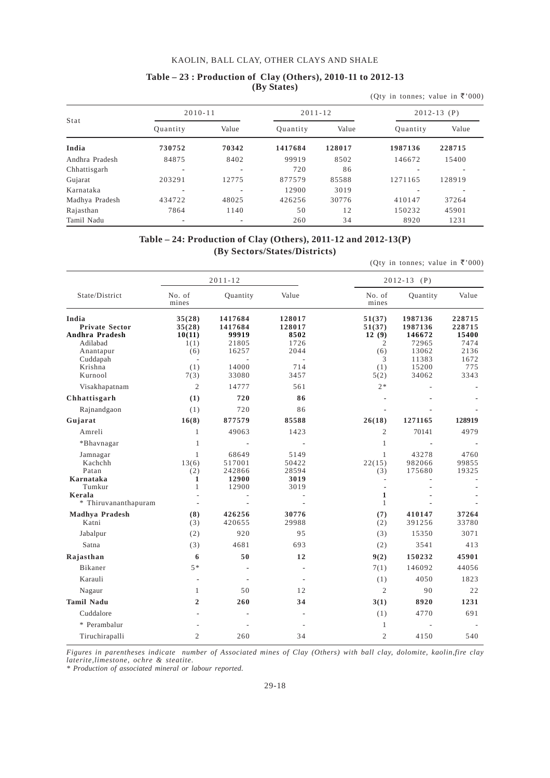|                |             |       |          |             | (Qty in tonnes; value in ₹'000) |                 |
|----------------|-------------|-------|----------|-------------|---------------------------------|-----------------|
| Stat           | $2010 - 11$ |       |          | $2011 - 12$ |                                 | $2012 - 13$ (P) |
|                | Quantity    | Value | Ouantity | Value       | Quantity                        | Value           |
| India          | 730752      | 70342 | 1417684  | 128017      | 1987136                         | 228715          |
| Andhra Pradesh | 84875       | 8402  | 99919    | 8502        | 146672                          | 15400           |
| Chhattisgarh   |             |       | 720      | 86          |                                 |                 |
| Gujarat        | 203291      | 12775 | 877579   | 85588       | 1271165                         | 128919          |
| Karnataka      |             | ٠     | 12900    | 3019        |                                 |                 |
| Madhya Pradesh | 434722      | 48025 | 426256   | 30776       | 410147                          | 37264           |
| Rajasthan      | 7864        | 1140  | 50       | 12          | 150232                          | 45901           |
| Tamil Nadu     |             | ٠     | 260      | 34          | 8920                            | 1231            |

#### **Table – 23 : Production of Clay (Others), 2010-11 to 2012-13 (By States)**

**Table – 24: Production of Clay (Others), 2011-12 and 2012-13(P) (By Sectors/States/Districts)**

(Qty in tonnes; value in  $\overline{\xi}'$  000)

|                                                                                                  |                                                  | $2011 - 12$                                            |                                                 | $2012 - 13$ (P)                                   |                                                                  |                                                          |  |
|--------------------------------------------------------------------------------------------------|--------------------------------------------------|--------------------------------------------------------|-------------------------------------------------|---------------------------------------------------|------------------------------------------------------------------|----------------------------------------------------------|--|
| State/District                                                                                   | No. of<br>mines                                  | Quantity                                               | Value                                           | No. of<br>mines                                   | Quantity                                                         | Value                                                    |  |
| India<br><b>Private Sector</b><br>Andhra Pradesh<br>Adilabad<br>Anantapur<br>Cuddapah<br>Krishna | 35(28)<br>35(28)<br>10(11)<br>1(1)<br>(6)<br>(1) | 1417684<br>1417684<br>99919<br>21805<br>16257<br>14000 | 128017<br>128017<br>8502<br>1726<br>2044<br>714 | 51(37)<br>51(37)<br>12(9)<br>2<br>(6)<br>3<br>(1) | 1987136<br>1987136<br>146672<br>72965<br>13062<br>11383<br>15200 | 228715<br>228715<br>15400<br>7474<br>2136<br>1672<br>775 |  |
| Kurnool                                                                                          | 7(3)                                             | 33080                                                  | 3457                                            | 5(2)                                              | 34062                                                            | 3343                                                     |  |
| Visakhapatnam                                                                                    | $\overline{2}$                                   | 14777                                                  | 561                                             | $2*$                                              |                                                                  |                                                          |  |
| Chhattisgarh                                                                                     | (1)                                              | 720                                                    | 86                                              |                                                   |                                                                  |                                                          |  |
| Rajnandgaon                                                                                      | (1)                                              | 720                                                    | 86                                              |                                                   |                                                                  |                                                          |  |
| Gujarat                                                                                          | 16(8)                                            | 877579                                                 | 85588                                           | 26(18)                                            | 1271165                                                          | 128919                                                   |  |
| Amreli                                                                                           | $\mathbf{1}$                                     | 49063                                                  | 1423                                            | $\mathfrak{2}$                                    | 70141                                                            | 4979                                                     |  |
| *Bhavnagar                                                                                       | $\mathbf{1}$                                     |                                                        |                                                 | $\mathbf{1}$                                      |                                                                  |                                                          |  |
| Jamnagar<br>Kachchh<br>Patan                                                                     | $\mathbf{1}$<br>13(6)<br>(2)                     | 68649<br>517001<br>242866                              | 5149<br>50422<br>28594                          | $\mathbf{1}$<br>22(15)<br>(3)                     | 43278<br>982066<br>175680                                        | 4760<br>99855<br>19325                                   |  |
| Karnataka<br>Tumkur                                                                              | 1<br>$\mathbf{1}$                                | 12900<br>12900                                         | 3019<br>3019                                    | ÷                                                 |                                                                  |                                                          |  |
| Kerala<br>* Thiruvananthapuram                                                                   |                                                  |                                                        |                                                 | $\mathbf{1}$<br>$\mathbf{1}$                      |                                                                  |                                                          |  |
| Madhya Pradesh<br>Katni                                                                          | (8)<br>(3)                                       | 426256<br>420655                                       | 30776<br>29988                                  | (7)<br>(2)                                        | 410147<br>391256                                                 | 37264<br>33780                                           |  |
| Jabalpur                                                                                         | (2)                                              | 920                                                    | 95                                              | (3)                                               | 15350                                                            | 3071                                                     |  |
| Satna                                                                                            | (3)                                              | 4681                                                   | 693                                             | (2)                                               | 3541                                                             | 413                                                      |  |
| Rajasthan                                                                                        | 6                                                | 50                                                     | 12                                              | 9(2)                                              | 150232                                                           | 45901                                                    |  |
| Bikaner                                                                                          | $5 *$                                            |                                                        | $\overline{a}$                                  | 7(1)                                              | 146092                                                           | 44056                                                    |  |
| Karauli                                                                                          |                                                  |                                                        |                                                 | (1)                                               | 4050                                                             | 1823                                                     |  |
| Nagaur                                                                                           | $\mathbf{1}$                                     | 50                                                     | 12                                              | $\overline{2}$                                    | 90                                                               | 22                                                       |  |
| <b>Tamil Nadu</b>                                                                                | $\overline{2}$                                   | 260                                                    | 34                                              | 3(1)                                              | 8920                                                             | 1231                                                     |  |
| Cuddalore                                                                                        |                                                  |                                                        |                                                 | (1)                                               | 4770                                                             | 691                                                      |  |
| * Perambalur                                                                                     |                                                  |                                                        |                                                 | 1                                                 |                                                                  |                                                          |  |
| Tiruchirapalli                                                                                   | $\overline{2}$                                   | 260                                                    | 34                                              | $\overline{2}$                                    | 4150                                                             | 540                                                      |  |

*Figures in parentheses indicate number of Associated mines of Clay (Others) with ball clay, dolomite, kaolin,fire clay laterite,limestone, ochre & steatite.*

*\* Production of associated mineral or labour reported.*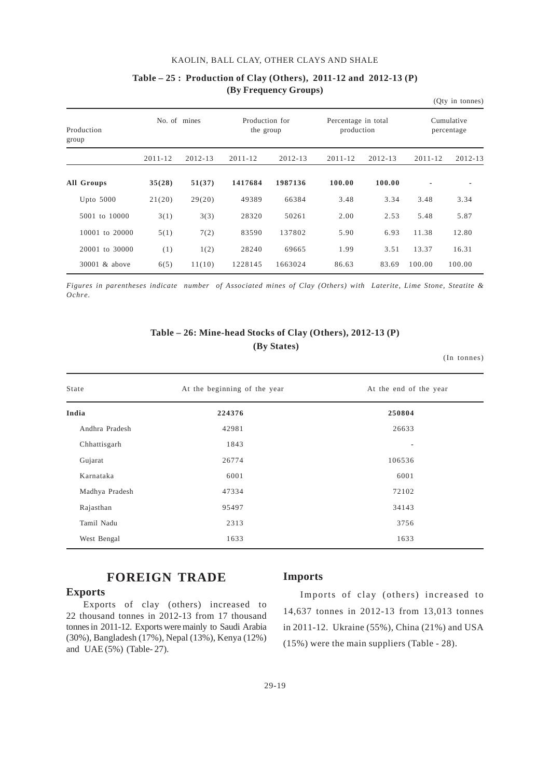|                     |             |              |                             |             |                                   |             |             | (Qty in tonnes)          |
|---------------------|-------------|--------------|-----------------------------|-------------|-----------------------------------|-------------|-------------|--------------------------|
| Production<br>group |             | No. of mines | Production for<br>the group |             | Percentage in total<br>production |             |             | Cumulative<br>percentage |
|                     | $2011 - 12$ | $2012 - 13$  | $2011 - 12$                 | $2012 - 13$ | $2011 - 12$                       | $2012 - 13$ | $2011 - 12$ | $2012 - 13$              |
| All Groups          | 35(28)      | 51(37)       | 1417684                     | 1987136     | 100.00                            | 100.00      |             |                          |
| Upto $5000$         | 21(20)      | 29(20)       | 49389                       | 66384       | 3.48                              | 3.34        | 3.48        | 3.34                     |
| 5001 to 10000       | 3(1)        | 3(3)         | 28320                       | 50261       | 2.00                              | 2.53        | 5.48        | 5.87                     |
| 10001 to 20000      | 5(1)        | 7(2)         | 83590                       | 137802      | 5.90                              | 6.93        | 11.38       | 12.80                    |
| 20001 to 30000      | (1)         | 1(2)         | 28240                       | 69665       | 1.99                              | 3.51        | 13.37       | 16.31                    |
| 30001 & above       | 6(5)        | 11(10)       | 1228145                     | 1663024     | 86.63                             | 83.69       | 100.00      | 100.00                   |

## **Table – 25 : Production of Clay (Others), 2011-12 and 2012-13 (P) (By Frequency Groups)**

*Figures in parentheses indicate number of Associated mines of Clay (Others) with Laterite, Lime Stone, Steatite & Ochre.*

## **Table – 26: Mine-head Stocks of Clay (Others), 2012-13 (P) (By States)**

(In tonnes)

| State<br>At the beginning of the year |        | At the end of the year |
|---------------------------------------|--------|------------------------|
| India                                 | 224376 | 250804                 |
| Andhra Pradesh                        | 42981  | 26633                  |
| Chhattisgarh                          | 1843   | $\blacksquare$         |
| Gujarat                               | 26774  | 106536                 |
| Karnataka                             | 6001   | 6001                   |
| Madhya Pradesh                        | 47334  | 72102                  |
| Rajasthan                             | 95497  | 34143                  |
| Tamil Nadu                            | 2313   | 3756                   |
| West Bengal                           | 1633   | 1633                   |

## **FOREIGN TRADE**

#### **Exports**

Exports of clay (others) increased to 22 thousand tonnes in 2012-13 from 17 thousand tonnes in 2011-12. Exports were mainly to Saudi Arabia (30%), Bangladesh (17%), Nepal (13%), Kenya (12%) and UAE (5%) (Table- 27).

#### **Imports**

Imports of clay (others) increased to 14,637 tonnes in 2012-13 from 13,013 tonnes in 2011-12. Ukraine (55%), China (21%) and USA (15%) were the main suppliers (Table - 28).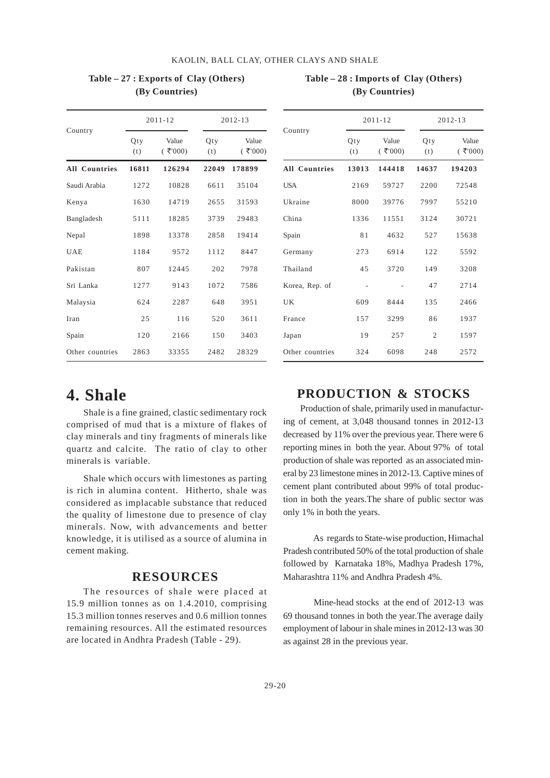|                      |            | $2011 - 12$         | $2012 - 13$ |                     |  |  |
|----------------------|------------|---------------------|-------------|---------------------|--|--|
| Country              | Qty<br>(t) | Value<br>$($ ₹'000) | Qty<br>(t)  | Value<br>$($ ₹'000) |  |  |
| <b>All Countries</b> | 16811      | 126294              | 22049       | 178899              |  |  |
| Saudi Arabia         | 1272       | 10828               | 6611        | 35104               |  |  |
| Kenya                | 1630       | 14719               | 2655        | 31593               |  |  |
| Bangladesh           | 5111       | 18285               | 3739        | 29483               |  |  |
| Nepal                | 1898       | 13378               | 2858        | 19414               |  |  |
| <b>UAE</b>           | 1184       | 9572                | 1112        | 8447                |  |  |
| Pakistan             | 807        | 12445               | 202         | 7978                |  |  |
| Sri Lanka            | 1277       | 9143                | 1072        | 7586                |  |  |
| Malaysia             | 624        | 2287                | 648         | 3951                |  |  |
| Iran                 | 25         | 116                 | 520         | 3611                |  |  |
| Spain                | 120        | 2166                | 150         | 3403                |  |  |
| Other countries      | 2863       | 33355               | 2482        | 28329               |  |  |

#### **Table – 27 : Exports of Clay (Others) (By Countries)**

## **Table – 28 : Imports of Clay (Others) (By Countries)**

|                      |                          | $2011 - 12$         | 2012-13        |                     |  |
|----------------------|--------------------------|---------------------|----------------|---------------------|--|
| Country              | Qty<br>(t)               | Value<br>$($ ₹'000) | Qty<br>(t)     | Value<br>$($ ₹'000) |  |
| <b>All Countries</b> | 13013                    | 144418              | 14637          | 194203              |  |
| <b>USA</b>           | 2169                     | 59727               | 2200           | 72548               |  |
| Ukraine              | 8000                     | 39776               | 7997           | 55210               |  |
| China                | 1336                     | 11551               | 3124           | 30721               |  |
| Spain                | 81                       | 4632                | 527            | 15638               |  |
| Germany              | 273                      | 6914                | 122            | 5592                |  |
| Thailand             | 45                       | 3720                | 149            | 3208                |  |
| Korea, Rep. of       | $\overline{\phantom{a}}$ |                     | 47             | 2714                |  |
| UK                   | 609                      | 8444                | 135            | 2466                |  |
| France               | 157                      | 3299                | 86             | 1937                |  |
| Japan                | 19                       | 257                 | $\overline{2}$ | 1597                |  |
| Other countries      | 324                      | 6098                | 248            | 2572                |  |

## **4. Shale**

Shale is a fine grained, clastic sedimentary rock comprised of mud that is a mixture of flakes of clay minerals and tiny fragments of minerals like quartz and calcite. The ratio of clay to other minerals is variable.

Shale which occurs with limestones as parting is rich in alumina content. Hitherto, shale was considered as implacable substance that reduced the quality of limestone due to presence of clay minerals. Now, with advancements and better knowledge, it is utilised as a source of alumina in cement making.

### **RESOURCES**

The resources of shale were placed at 15.9 million tonnes as on 1.4.2010, comprising 15.3 million tonnes reserves and 0.6 million tonnes remaining resources. All the estimated resources are located in Andhra Pradesh (Table - 29).

## **PRODUCTION & STOCKS**

Production of shale, primarily used in manufacturing of cement, at 3,048 thousand tonnes in 2012-13 decreased by 11% over the previous year. There were 6 reporting mines in both the year. About 97% of total production of shale was reported as an associated mineral by 23 limestone mines in 2012-13. Captive mines of cement plant contributed about 99% of total production in both the years.The share of public sector was only 1% in both the years.

 As regards to State-wise production, Himachal Pradesh contributed 50% of the total production of shale followed by Karnataka 18%, Madhya Pradesh 17%, Maharashtra 11% and Andhra Pradesh 4%.

 Mine-head stocks at the end of 2012-13 was 69 thousand tonnes in both the year.The average daily employment of labour in shale mines in 2012-13 was 30 as against 28 in the previous year.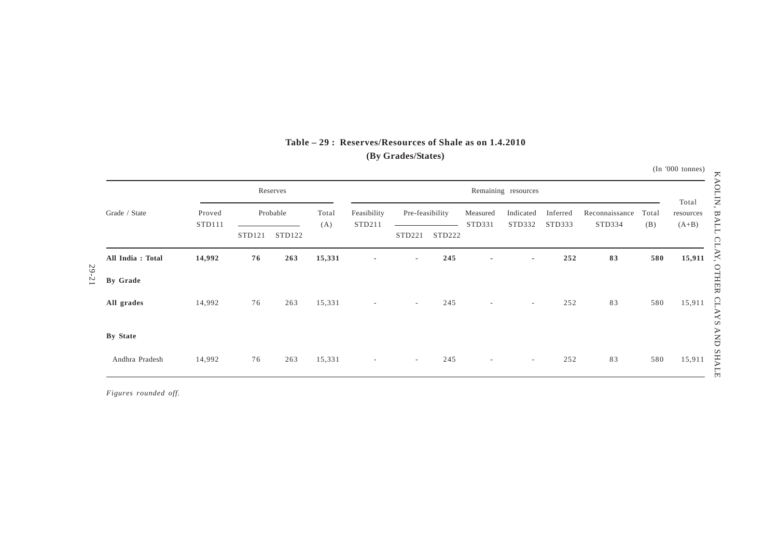|           |                  |                  |        | Reserves |              |                          |                 |        |                          | Remaining resources |                    |                          |              |                               |
|-----------|------------------|------------------|--------|----------|--------------|--------------------------|-----------------|--------|--------------------------|---------------------|--------------------|--------------------------|--------------|-------------------------------|
|           | Grade / State    | Proved<br>STD111 |        | Probable | Total<br>(A) | Feasibility<br>STD211    | Pre-feasibility |        | Measured<br>STD331       | Indicated<br>STD332 | Inferred<br>STD333 | Reconnaissance<br>STD334 | Total<br>(B) | Total<br>resources<br>$(A+B)$ |
|           |                  |                  | STD121 | STD122   |              |                          | STD221          | STD222 |                          |                     |                    |                          |              |                               |
|           | All India: Total | 14,992           | 76     | 263      | 15,331       | $\overline{\phantom{a}}$ | $\sim$          | 245    | $\overline{\phantom{a}}$ | $\sim$              | 252                | 83                       | 580          | 15,911                        |
| $29 - 21$ | By Grade         |                  |        |          |              |                          |                 |        |                          |                     |                    |                          |              |                               |
|           | All grades       | 14,992           | 76     | 263      | 15,331       | $\sim$                   | $\sim$          | 245    | $\sim$                   | $\sim$              | 252                | 83                       | 580          | 15,911                        |
|           | By State         |                  |        |          |              |                          |                 |        |                          |                     |                    |                          |              |                               |
|           |                  |                  |        |          |              |                          |                 |        |                          |                     |                    |                          |              |                               |
|           | Andhra Pradesh   | 14,992           | 76     | 263      | 15,331       | $\sim$                   | $\sim$          | 245    | $\sim$                   | $\sim$              | 252                | 83                       | 580          | 15,911                        |

## **Table – 29 : Reserves/Resources of Shale as on 1.4.2010(By Grades/States)**

*Figures rounded off.*

(In '000 tonnes)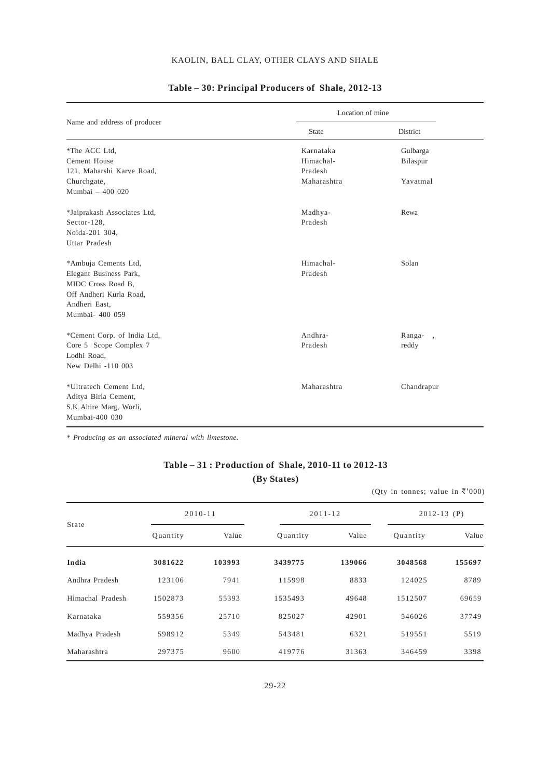|                              | Location of mine |                                    |
|------------------------------|------------------|------------------------------------|
| Name and address of producer | <b>State</b>     | District                           |
| *The ACC Ltd,                | Karnataka        | Gulbarga                           |
| Cement House                 | Himachal-        | Bilaspur                           |
| 121, Maharshi Karve Road,    | Pradesh          |                                    |
| Churchgate,                  | Maharashtra      | Yavatmal                           |
| Mumbai - 400 020             |                  |                                    |
| *Jaiprakash Associates Ltd,  | Madhya-          | Rewa                               |
| Sector-128,                  | Pradesh          |                                    |
| Noida-201 304,               |                  |                                    |
| Uttar Pradesh                |                  |                                    |
| *Ambuja Cements Ltd,         | Himachal-        | Solan                              |
| Elegant Business Park,       | Pradesh          |                                    |
| MIDC Cross Road B,           |                  |                                    |
| Off Andheri Kurla Road.      |                  |                                    |
| Andheri East,                |                  |                                    |
| Mumbai- 400 059              |                  |                                    |
| *Cement Corp. of India Ltd,  | Andhra-          | Ranga-<br>$\overline{\phantom{a}}$ |
| Core 5 Scope Complex 7       | Pradesh          | reddy                              |
| Lodhi Road,                  |                  |                                    |
| New Delhi -110 003           |                  |                                    |
| *Ultratech Cement Ltd,       | Maharashtra      | Chandrapur                         |
| Aditya Birla Cement,         |                  |                                    |
| S.K Ahire Marg, Worli,       |                  |                                    |
| Mumbai-400 030               |                  |                                    |

#### **Table – 30: Principal Producers of Shale, 2012-13**

*\* Producing as an associated mineral with limestone.*

## **Table – 31 : Production of Shale, 2010-11 to 2012-13 (By States)**

(Qty in tonnes; value in  $\overline{\tau}$ '000)

|                  | $2010 - 11$ |        |          | $2011 - 12$ | $2012 - 13$ (P) |        |  |
|------------------|-------------|--------|----------|-------------|-----------------|--------|--|
| State            | Quantity    | Value  | Quantity | Value       | Quantity        | Value  |  |
| India            | 3081622     | 103993 | 3439775  | 139066      | 3048568         | 155697 |  |
| Andhra Pradesh   | 123106      | 7941   | 115998   | 8833        | 124025          | 8789   |  |
| Himachal Pradesh | 1502873     | 55393  | 1535493  | 49648       | 1512507         | 69659  |  |
| Karnataka        | 559356      | 25710  | 825027   | 42901       | 546026          | 37749  |  |
| Madhya Pradesh   | 598912      | 5349   | 543481   | 6321        | 519551          | 5519   |  |
| Maharashtra      | 297375      | 9600   | 419776   | 31363       | 346459          | 3398   |  |